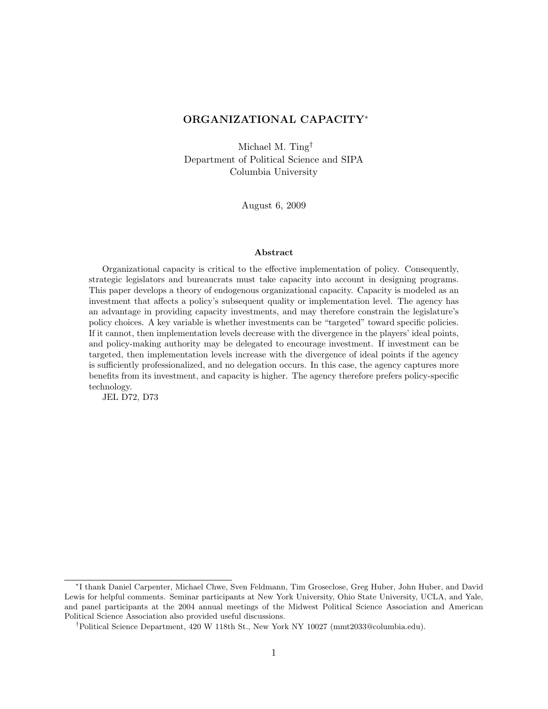# ORGANIZATIONAL CAPACITY<sup>∗</sup>

Michael M. Ting† Department of Political Science and SIPA Columbia University

August 6, 2009

#### Abstract

Organizational capacity is critical to the effective implementation of policy. Consequently, strategic legislators and bureaucrats must take capacity into account in designing programs. This paper develops a theory of endogenous organizational capacity. Capacity is modeled as an investment that affects a policy's subsequent quality or implementation level. The agency has an advantage in providing capacity investments, and may therefore constrain the legislature's policy choices. A key variable is whether investments can be "targeted" toward specific policies. If it cannot, then implementation levels decrease with the divergence in the players' ideal points, and policy-making authority may be delegated to encourage investment. If investment can be targeted, then implementation levels increase with the divergence of ideal points if the agency is sufficiently professionalized, and no delegation occurs. In this case, the agency captures more benefits from its investment, and capacity is higher. The agency therefore prefers policy-specific technology.

JEL D72, D73

<sup>∗</sup> I thank Daniel Carpenter, Michael Chwe, Sven Feldmann, Tim Groseclose, Greg Huber, John Huber, and David Lewis for helpful comments. Seminar participants at New York University, Ohio State University, UCLA, and Yale, and panel participants at the 2004 annual meetings of the Midwest Political Science Association and American Political Science Association also provided useful discussions.

<sup>†</sup>Political Science Department, 420 W 118th St., New York NY 10027 (mmt2033@columbia.edu).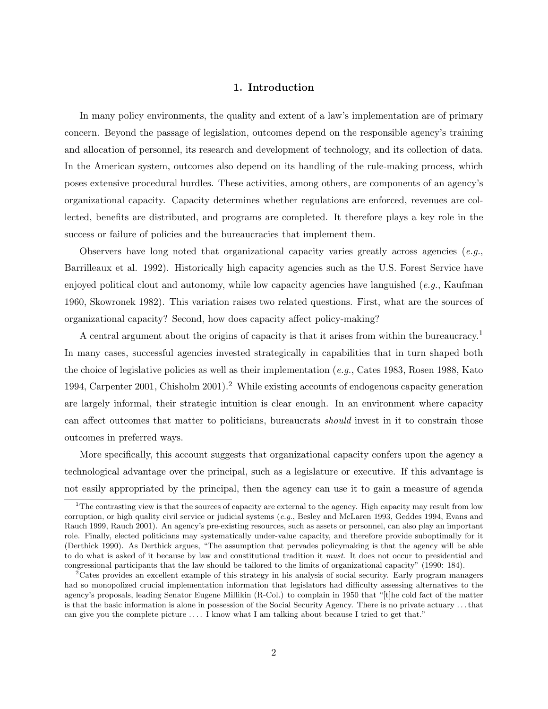## 1. Introduction

In many policy environments, the quality and extent of a law's implementation are of primary concern. Beyond the passage of legislation, outcomes depend on the responsible agency's training and allocation of personnel, its research and development of technology, and its collection of data. In the American system, outcomes also depend on its handling of the rule-making process, which poses extensive procedural hurdles. These activities, among others, are components of an agency's organizational capacity. Capacity determines whether regulations are enforced, revenues are collected, benefits are distributed, and programs are completed. It therefore plays a key role in the success or failure of policies and the bureaucracies that implement them.

Observers have long noted that organizational capacity varies greatly across agencies  $(e.g.,)$ Barrilleaux et al. 1992). Historically high capacity agencies such as the U.S. Forest Service have enjoyed political clout and autonomy, while low capacity agencies have languished  $(e.g., K\text{aufman})$ 1960, Skowronek 1982). This variation raises two related questions. First, what are the sources of organizational capacity? Second, how does capacity affect policy-making?

A central argument about the origins of capacity is that it arises from within the bureaucracy.<sup>1</sup> In many cases, successful agencies invested strategically in capabilities that in turn shaped both the choice of legislative policies as well as their implementation (e.g., Cates 1983, Rosen 1988, Kato 1994, Carpenter 2001, Chisholm 2001).<sup>2</sup> While existing accounts of endogenous capacity generation are largely informal, their strategic intuition is clear enough. In an environment where capacity can affect outcomes that matter to politicians, bureaucrats should invest in it to constrain those outcomes in preferred ways.

More specifically, this account suggests that organizational capacity confers upon the agency a technological advantage over the principal, such as a legislature or executive. If this advantage is not easily appropriated by the principal, then the agency can use it to gain a measure of agenda

<sup>&</sup>lt;sup>1</sup>The contrasting view is that the sources of capacity are external to the agency. High capacity may result from low corruption, or high quality civil service or judicial systems (e.g., Besley and McLaren 1993, Geddes 1994, Evans and Rauch 1999, Rauch 2001). An agency's pre-existing resources, such as assets or personnel, can also play an important role. Finally, elected politicians may systematically under-value capacity, and therefore provide suboptimally for it (Derthick 1990). As Derthick argues, "The assumption that pervades policymaking is that the agency will be able to do what is asked of it because by law and constitutional tradition it must. It does not occur to presidential and congressional participants that the law should be tailored to the limits of organizational capacity" (1990: 184).

 $2$ Cates provides an excellent example of this strategy in his analysis of social security. Early program managers had so monopolized crucial implementation information that legislators had difficulty assessing alternatives to the agency's proposals, leading Senator Eugene Millikin (R-Col.) to complain in 1950 that "[t]he cold fact of the matter is that the basic information is alone in possession of the Social Security Agency. There is no private actuary . . . that can give you the complete picture . . . . I know what I am talking about because I tried to get that."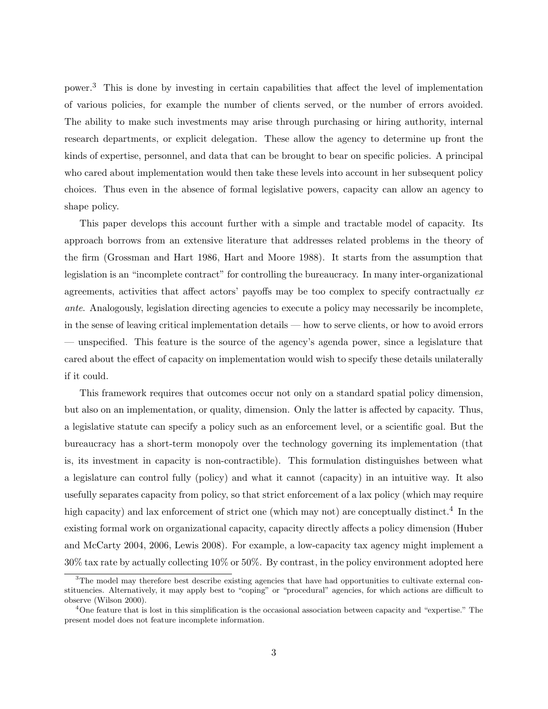power.<sup>3</sup> This is done by investing in certain capabilities that affect the level of implementation of various policies, for example the number of clients served, or the number of errors avoided. The ability to make such investments may arise through purchasing or hiring authority, internal research departments, or explicit delegation. These allow the agency to determine up front the kinds of expertise, personnel, and data that can be brought to bear on specific policies. A principal who cared about implementation would then take these levels into account in her subsequent policy choices. Thus even in the absence of formal legislative powers, capacity can allow an agency to shape policy.

This paper develops this account further with a simple and tractable model of capacity. Its approach borrows from an extensive literature that addresses related problems in the theory of the firm (Grossman and Hart 1986, Hart and Moore 1988). It starts from the assumption that legislation is an "incomplete contract" for controlling the bureaucracy. In many inter-organizational agreements, activities that affect actors' payoffs may be too complex to specify contractually ex ante. Analogously, legislation directing agencies to execute a policy may necessarily be incomplete, in the sense of leaving critical implementation details — how to serve clients, or how to avoid errors — unspecified. This feature is the source of the agency's agenda power, since a legislature that cared about the effect of capacity on implementation would wish to specify these details unilaterally if it could.

This framework requires that outcomes occur not only on a standard spatial policy dimension, but also on an implementation, or quality, dimension. Only the latter is affected by capacity. Thus, a legislative statute can specify a policy such as an enforcement level, or a scientific goal. But the bureaucracy has a short-term monopoly over the technology governing its implementation (that is, its investment in capacity is non-contractible). This formulation distinguishes between what a legislature can control fully (policy) and what it cannot (capacity) in an intuitive way. It also usefully separates capacity from policy, so that strict enforcement of a lax policy (which may require high capacity) and lax enforcement of strict one (which may not) are conceptually distinct.<sup>4</sup> In the existing formal work on organizational capacity, capacity directly affects a policy dimension (Huber and McCarty 2004, 2006, Lewis 2008). For example, a low-capacity tax agency might implement a 30% tax rate by actually collecting 10% or 50%. By contrast, in the policy environment adopted here

<sup>&</sup>lt;sup>3</sup>The model may therefore best describe existing agencies that have had opportunities to cultivate external constituencies. Alternatively, it may apply best to "coping" or "procedural" agencies, for which actions are difficult to observe (Wilson 2000).

<sup>&</sup>lt;sup>4</sup>One feature that is lost in this simplification is the occasional association between capacity and "expertise." The present model does not feature incomplete information.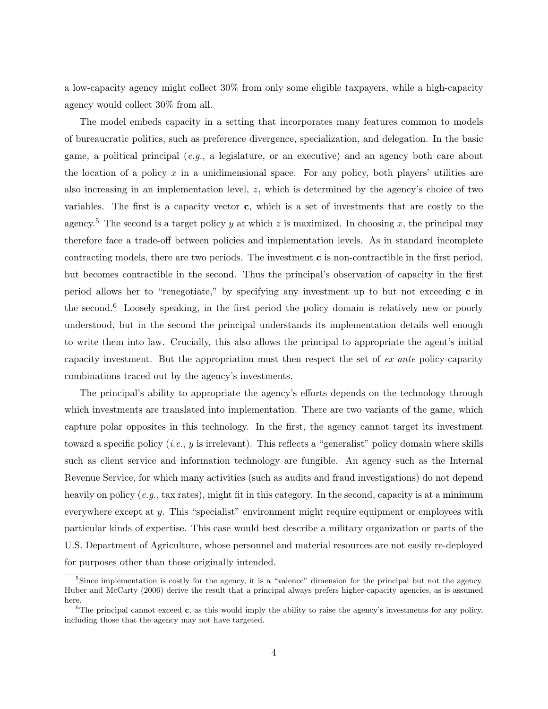a low-capacity agency might collect 30% from only some eligible taxpayers, while a high-capacity agency would collect 30% from all.

The model embeds capacity in a setting that incorporates many features common to models of bureaucratic politics, such as preference divergence, specialization, and delegation. In the basic game, a political principal (*e.g.*, a legislature, or an executive) and an agency both care about the location of a policy  $x$  in a unidimensional space. For any policy, both players' utilities are also increasing in an implementation level, z, which is determined by the agency's choice of two variables. The first is a capacity vector c, which is a set of investments that are costly to the agency.<sup>5</sup> The second is a target policy y at which z is maximized. In choosing x, the principal may therefore face a trade-off between policies and implementation levels. As in standard incomplete contracting models, there are two periods. The investment c is non-contractible in the first period, but becomes contractible in the second. Thus the principal's observation of capacity in the first period allows her to "renegotiate," by specifying any investment up to but not exceeding c in the second.<sup>6</sup> Loosely speaking, in the first period the policy domain is relatively new or poorly understood, but in the second the principal understands its implementation details well enough to write them into law. Crucially, this also allows the principal to appropriate the agent's initial capacity investment. But the appropriation must then respect the set of ex ante policy-capacity combinations traced out by the agency's investments.

The principal's ability to appropriate the agency's efforts depends on the technology through which investments are translated into implementation. There are two variants of the game, which capture polar opposites in this technology. In the first, the agency cannot target its investment toward a specific policy (*i.e.*,  $y$  is irrelevant). This reflects a "generalist" policy domain where skills such as client service and information technology are fungible. An agency such as the Internal Revenue Service, for which many activities (such as audits and fraud investigations) do not depend heavily on policy (e.g., tax rates), might fit in this category. In the second, capacity is at a minimum everywhere except at y. This "specialist" environment might require equipment or employees with particular kinds of expertise. This case would best describe a military organization or parts of the U.S. Department of Agriculture, whose personnel and material resources are not easily re-deployed for purposes other than those originally intended.

<sup>&</sup>lt;sup>5</sup>Since implementation is costly for the agency, it is a "valence" dimension for the principal but not the agency. Huber and McCarty (2006) derive the result that a principal always prefers higher-capacity agencies, as is assumed here.

 ${}^{6}$ The principal cannot exceed c, as this would imply the ability to raise the agency's investments for any policy, including those that the agency may not have targeted.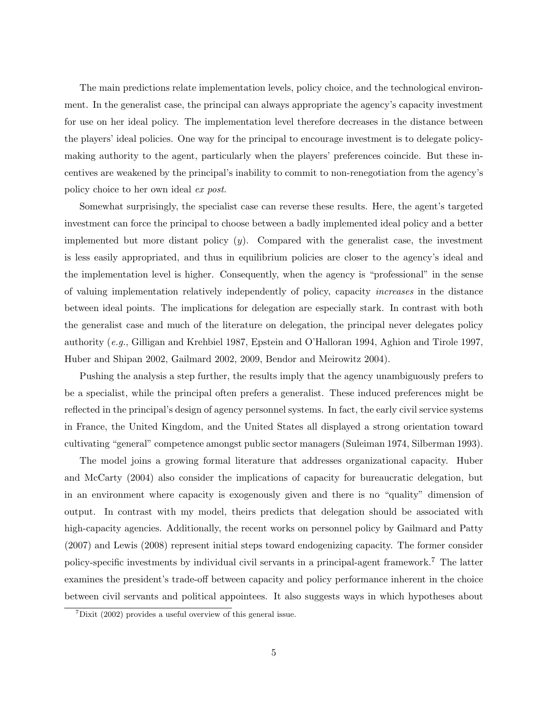The main predictions relate implementation levels, policy choice, and the technological environment. In the generalist case, the principal can always appropriate the agency's capacity investment for use on her ideal policy. The implementation level therefore decreases in the distance between the players' ideal policies. One way for the principal to encourage investment is to delegate policymaking authority to the agent, particularly when the players' preferences coincide. But these incentives are weakened by the principal's inability to commit to non-renegotiation from the agency's policy choice to her own ideal ex post.

Somewhat surprisingly, the specialist case can reverse these results. Here, the agent's targeted investment can force the principal to choose between a badly implemented ideal policy and a better implemented but more distant policy  $(y)$ . Compared with the generalist case, the investment is less easily appropriated, and thus in equilibrium policies are closer to the agency's ideal and the implementation level is higher. Consequently, when the agency is "professional" in the sense of valuing implementation relatively independently of policy, capacity increases in the distance between ideal points. The implications for delegation are especially stark. In contrast with both the generalist case and much of the literature on delegation, the principal never delegates policy authority (e.g., Gilligan and Krehbiel 1987, Epstein and O'Halloran 1994, Aghion and Tirole 1997, Huber and Shipan 2002, Gailmard 2002, 2009, Bendor and Meirowitz 2004).

Pushing the analysis a step further, the results imply that the agency unambiguously prefers to be a specialist, while the principal often prefers a generalist. These induced preferences might be reflected in the principal's design of agency personnel systems. In fact, the early civil service systems in France, the United Kingdom, and the United States all displayed a strong orientation toward cultivating "general" competence amongst public sector managers (Suleiman 1974, Silberman 1993).

The model joins a growing formal literature that addresses organizational capacity. Huber and McCarty (2004) also consider the implications of capacity for bureaucratic delegation, but in an environment where capacity is exogenously given and there is no "quality" dimension of output. In contrast with my model, theirs predicts that delegation should be associated with high-capacity agencies. Additionally, the recent works on personnel policy by Gailmard and Patty (2007) and Lewis (2008) represent initial steps toward endogenizing capacity. The former consider policy-specific investments by individual civil servants in a principal-agent framework.<sup>7</sup> The latter examines the president's trade-off between capacity and policy performance inherent in the choice between civil servants and political appointees. It also suggests ways in which hypotheses about

 $7$ Dixit (2002) provides a useful overview of this general issue.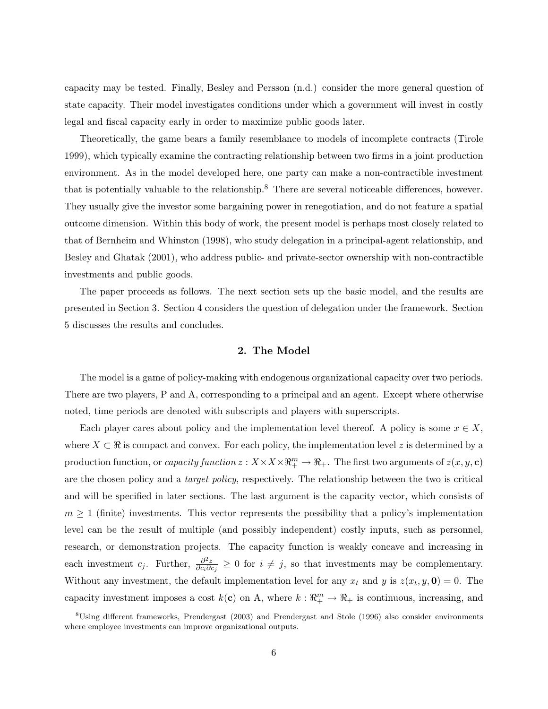capacity may be tested. Finally, Besley and Persson (n.d.) consider the more general question of state capacity. Their model investigates conditions under which a government will invest in costly legal and fiscal capacity early in order to maximize public goods later.

Theoretically, the game bears a family resemblance to models of incomplete contracts (Tirole 1999), which typically examine the contracting relationship between two firms in a joint production environment. As in the model developed here, one party can make a non-contractible investment that is potentially valuable to the relationship.<sup>8</sup> There are several noticeable differences, however. They usually give the investor some bargaining power in renegotiation, and do not feature a spatial outcome dimension. Within this body of work, the present model is perhaps most closely related to that of Bernheim and Whinston (1998), who study delegation in a principal-agent relationship, and Besley and Ghatak (2001), who address public- and private-sector ownership with non-contractible investments and public goods.

The paper proceeds as follows. The next section sets up the basic model, and the results are presented in Section 3. Section 4 considers the question of delegation under the framework. Section 5 discusses the results and concludes.

## 2. The Model

The model is a game of policy-making with endogenous organizational capacity over two periods. There are two players, P and A, corresponding to a principal and an agent. Except where otherwise noted, time periods are denoted with subscripts and players with superscripts.

Each player cares about policy and the implementation level thereof. A policy is some  $x \in X$ , where  $X \subset \mathbb{R}$  is compact and convex. For each policy, the implementation level z is determined by a production function, or *capacity function*  $z: X \times X \times \mathbb{R}^m_+ \to \mathbb{R}_+$ . The first two arguments of  $z(x, y, c)$ are the chosen policy and a *target policy*, respectively. The relationship between the two is critical and will be specified in later sections. The last argument is the capacity vector, which consists of  $m \geq 1$  (finite) investments. This vector represents the possibility that a policy's implementation level can be the result of multiple (and possibly independent) costly inputs, such as personnel, research, or demonstration projects. The capacity function is weakly concave and increasing in each investment  $c_j$ . Further,  $\frac{\partial^2 z}{\partial c_i \partial c_j}$  $\frac{\partial^2 z}{\partial c_i \partial c_j} \geq 0$  for  $i \neq j$ , so that investments may be complementary. Without any investment, the default implementation level for any  $x_t$  and y is  $z(x_t, y, \mathbf{0}) = 0$ . The capacity investment imposes a cost  $k(c)$  on A, where  $k: \mathbb{R}^m_+ \to \mathbb{R}_+$  is continuous, increasing, and

<sup>8</sup>Using different frameworks, Prendergast (2003) and Prendergast and Stole (1996) also consider environments where employee investments can improve organizational outputs.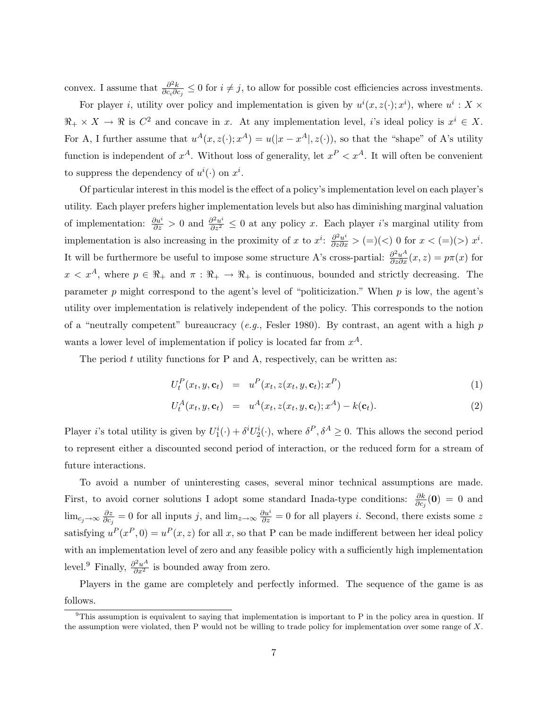convex. I assume that  $\frac{\partial^2 k}{\partial c \partial c}$  $\frac{\partial^2 k}{\partial c_i \partial c_j} \leq 0$  for  $i \neq j$ , to allow for possible cost efficiencies across investments.

For player *i*, utility over policy and implementation is given by  $u^{i}(x, z(\cdot); x^{i})$ , where  $u^{i}: X \times$  $\Re_+ \times X \to \Re$  is  $C^2$  and concave in x. At any implementation level, i's ideal policy is  $x^i \in X$ . For A, I further assume that  $u^{A}(x, z(\cdot); x^{A}) = u(|x - x^{A}|, z(\cdot))$ , so that the "shape" of A's utility function is independent of  $x^A$ . Without loss of generality, let  $x^P < x^A$ . It will often be convenient to suppress the dependency of  $u^{i}(\cdot)$  on  $x^{i}$ .

Of particular interest in this model is the effect of a policy's implementation level on each player's utility. Each player prefers higher implementation levels but also has diminishing marginal valuation of implementation:  $\frac{\partial u^i}{\partial z} > 0$  and  $\frac{\partial^2 u^i}{\partial z^2} \leq 0$  at any policy x. Each player i's marginal utility from implementation is also increasing in the proximity of x to  $x^i$ :  $\frac{\partial^2 u^i}{\partial z \partial x}$  > (=)(<) 0 for  $x < (=)(>)$   $x^i$ . It will be furthermore be useful to impose some structure A's cross-partial:  $\frac{\partial^2 u^A}{\partial z \partial x}(x, z) = p\pi(x)$  for  $x < x^A$ , where  $p \in \mathbb{R}_+$  and  $\pi : \mathbb{R}_+ \to \mathbb{R}_+$  is continuous, bounded and strictly decreasing. The parameter  $p$  might correspond to the agent's level of "politicization." When  $p$  is low, the agent's utility over implementation is relatively independent of the policy. This corresponds to the notion of a "neutrally competent" bureaucracy  $(e.g.,$  Fesler 1980). By contrast, an agent with a high  $p$ wants a lower level of implementation if policy is located far from  $x^A$ .

The period  $t$  utility functions for P and A, respectively, can be written as:

$$
U_t^P(x_t, y, \mathbf{c}_t) = u^P(x_t, z(x_t, y, \mathbf{c}_t); x^P)
$$
\n
$$
(1)
$$

$$
U_t^A(x_t, y, \mathbf{c}_t) = u^A(x_t, z(x_t, y, \mathbf{c}_t); x^A) - k(\mathbf{c}_t).
$$
\n(2)

Player *i*'s total utility is given by  $U_1^i(\cdot) + \delta^i U_2^i(\cdot)$ , where  $\delta^P, \delta^A \geq 0$ . This allows the second period to represent either a discounted second period of interaction, or the reduced form for a stream of future interactions.

To avoid a number of uninteresting cases, several minor technical assumptions are made. First, to avoid corner solutions I adopt some standard Inada-type conditions:  $\frac{\partial k}{\partial c_j}(\mathbf{0}) = 0$  and  $\lim_{c_j \to \infty} \frac{\partial z}{\partial c_j}$  $\frac{\partial z}{\partial c_j} = 0$  for all inputs j, and  $\lim_{z\to\infty} \frac{\partial u^i}{\partial z} = 0$  for all players i. Second, there exists some z satisfying  $u^P(x^P, 0) = u^P(x, z)$  for all x, so that P can be made indifferent between her ideal policy with an implementation level of zero and any feasible policy with a sufficiently high implementation level.<sup>9</sup> Finally,  $\frac{\partial^2 u^A}{\partial x^2}$  is bounded away from zero.

Players in the game are completely and perfectly informed. The sequence of the game is as follows.

 $9$ This assumption is equivalent to saying that implementation is important to P in the policy area in question. If the assumption were violated, then P would not be willing to trade policy for implementation over some range of  $X$ .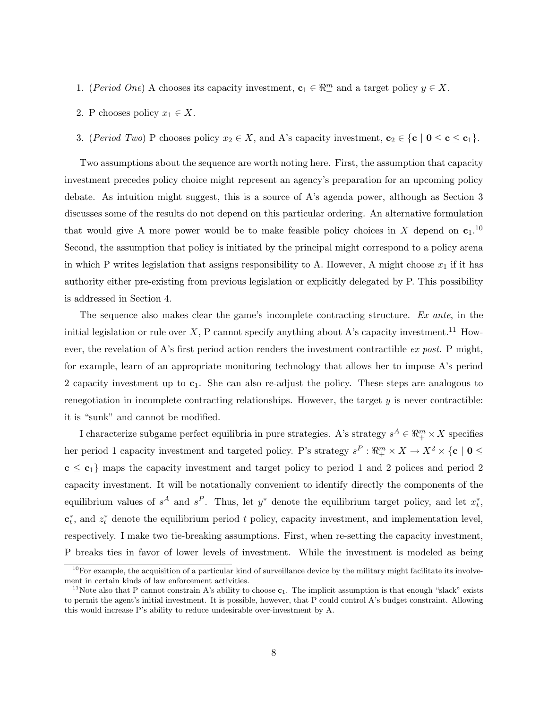- 1. (Period One) A chooses its capacity investment,  $\mathbf{c}_1 \in \mathbb{R}_+^m$  and a target policy  $y \in X$ .
- 2. P chooses policy  $x_1 \in X$ .
- 3. (Period Two) P chooses policy  $x_2 \in X$ , and A's capacity investment,  $\mathbf{c}_2 \in \{\mathbf{c} \mid \mathbf{0} \leq \mathbf{c} \leq \mathbf{c}_1\}$ .

Two assumptions about the sequence are worth noting here. First, the assumption that capacity investment precedes policy choice might represent an agency's preparation for an upcoming policy debate. As intuition might suggest, this is a source of A's agenda power, although as Section 3 discusses some of the results do not depend on this particular ordering. An alternative formulation that would give A more power would be to make feasible policy choices in X depend on  $c_1$ .<sup>10</sup> Second, the assumption that policy is initiated by the principal might correspond to a policy arena in which P writes legislation that assigns responsibility to A. However, A might choose  $x_1$  if it has authority either pre-existing from previous legislation or explicitly delegated by P. This possibility is addressed in Section 4.

The sequence also makes clear the game's incomplete contracting structure. Ex ante, in the initial legislation or rule over  $X$ , P cannot specify anything about A's capacity investment.<sup>11</sup> However, the revelation of A's first period action renders the investment contractible  $ex$  post. P might, for example, learn of an appropriate monitoring technology that allows her to impose A's period 2 capacity investment up to  $c_1$ . She can also re-adjust the policy. These steps are analogous to renegotiation in incomplete contracting relationships. However, the target  $y$  is never contractible: it is "sunk" and cannot be modified.

I characterize subgame perfect equilibria in pure strategies. A's strategy  $s^A \in \mathbb{R}^m_+ \times X$  specifies her period 1 capacity investment and targeted policy. P's strategy  $s^P : \mathbb{R}^m_+ \times X \to X^2 \times \{c \mid 0 \leq$  $c \leq c_1$  maps the capacity investment and target policy to period 1 and 2 polices and period 2 capacity investment. It will be notationally convenient to identify directly the components of the equilibrium values of  $s^A$  and  $s^P$ . Thus, let  $y^*$  denote the equilibrium target policy, and let  $x_t^*$ ,  $\mathbf{c}_t^*$ , and  $z_t^*$  denote the equilibrium period t policy, capacity investment, and implementation level, respectively. I make two tie-breaking assumptions. First, when re-setting the capacity investment, P breaks ties in favor of lower levels of investment. While the investment is modeled as being

 $10$ For example, the acquisition of a particular kind of surveillance device by the military might facilitate its involvement in certain kinds of law enforcement activities.

<sup>&</sup>lt;sup>11</sup>Note also that P cannot constrain A's ability to choose  $c_1$ . The implicit assumption is that enough "slack" exists to permit the agent's initial investment. It is possible, however, that P could control A's budget constraint. Allowing this would increase P's ability to reduce undesirable over-investment by A.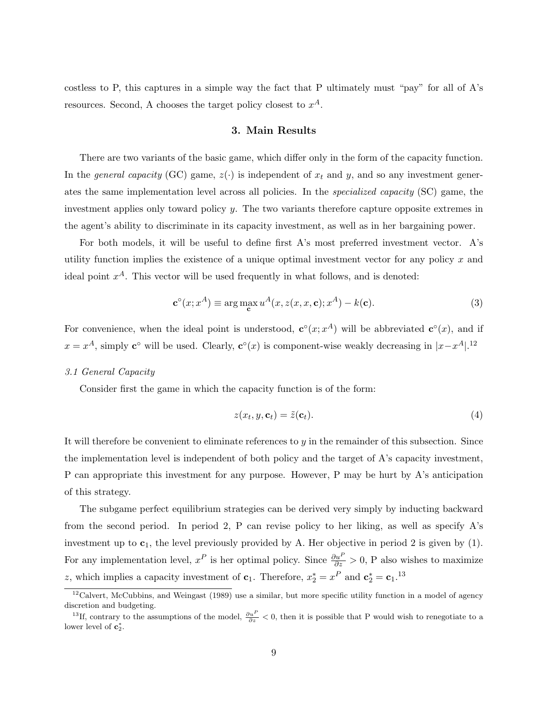costless to P, this captures in a simple way the fact that P ultimately must "pay" for all of A's resources. Second, A chooses the target policy closest to  $x^A$ .

### 3. Main Results

There are two variants of the basic game, which differ only in the form of the capacity function. In the *general capacity* (GC) game,  $z(\cdot)$  is independent of  $x_t$  and y, and so any investment generates the same implementation level across all policies. In the specialized capacity (SC) game, the investment applies only toward policy y. The two variants therefore capture opposite extremes in the agent's ability to discriminate in its capacity investment, as well as in her bargaining power.

For both models, it will be useful to define first A's most preferred investment vector. A's utility function implies the existence of a unique optimal investment vector for any policy  $x$  and ideal point  $x^A$ . This vector will be used frequently in what follows, and is denoted:

$$
\mathbf{c}^{\circ}(x; x^A) \equiv \arg\max_{\mathbf{c}} u^A(x, z(x, x, \mathbf{c}); x^A) - k(\mathbf{c}).
$$
 (3)

For convenience, when the ideal point is understood,  $\mathbf{c}^{\circ}(x; x^A)$  will be abbreviated  $\mathbf{c}^{\circ}(x)$ , and if  $x = x^A$ , simply  $\mathbf{c}^\circ$  will be used. Clearly,  $\mathbf{c}^\circ(x)$  is component-wise weakly decreasing in  $|x-x^A|$ .<sup>12</sup>

### 3.1 General Capacity

Consider first the game in which the capacity function is of the form:

$$
z(x_t, y, \mathbf{c}_t) = \tilde{z}(\mathbf{c}_t). \tag{4}
$$

It will therefore be convenient to eliminate references to y in the remainder of this subsection. Since the implementation level is independent of both policy and the target of A's capacity investment, P can appropriate this investment for any purpose. However, P may be hurt by A's anticipation of this strategy.

The subgame perfect equilibrium strategies can be derived very simply by inducting backward from the second period. In period 2, P can revise policy to her liking, as well as specify A's investment up to  $c_1$ , the level previously provided by A. Her objective in period 2 is given by (1). For any implementation level,  $x^P$  is her optimal policy. Since  $\frac{\partial u^P}{\partial z} > 0$ , P also wishes to maximize z, which implies a capacity investment of  $\mathbf{c}_1$ . Therefore,  $x_2^* = x^P$  and  $\mathbf{c}_2^* = \mathbf{c}_1$ .<sup>13</sup>

 $12$ Calvert, McCubbins, and Weingast (1989) use a similar, but more specific utility function in a model of agency discretion and budgeting.

<sup>&</sup>lt;sup>13</sup>If, contrary to the assumptions of the model,  $\frac{\partial u^P}{\partial z} < 0$ , then it is possible that P would wish to renegotiate to a lower level of  $\mathbf{c}_2^*$ .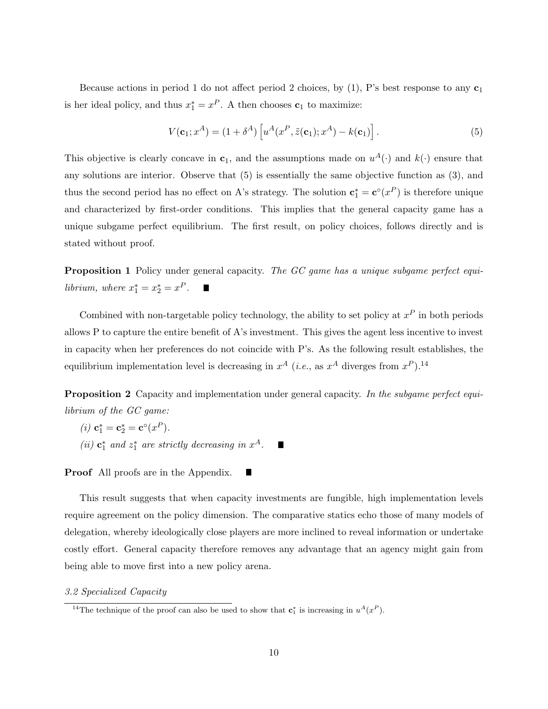Because actions in period 1 do not affect period 2 choices, by  $(1)$ , P's best response to any  $c_1$ is her ideal policy, and thus  $x_1^* = x^P$ . A then chooses  $c_1$  to maximize:

$$
V(\mathbf{c}_1; x^A) = (1 + \delta^A) \left[ u^A(x^P, \tilde{z}(\mathbf{c}_1); x^A) - k(\mathbf{c}_1) \right]. \tag{5}
$$

This objective is clearly concave in  $c_1$ , and the assumptions made on  $u^A(\cdot)$  and  $k(\cdot)$  ensure that any solutions are interior. Observe that (5) is essentially the same objective function as (3), and thus the second period has no effect on A's strategy. The solution  $\mathbf{c}_1^* = \mathbf{c}^{\circ}(x^P)$  is therefore unique and characterized by first-order conditions. This implies that the general capacity game has a unique subgame perfect equilibrium. The first result, on policy choices, follows directly and is stated without proof.

**Proposition 1** Policy under general capacity. The GC game has a unique subgame perfect equilibrium, where  $x_1^* = x_2^* = x^P$ .  $\blacksquare$ 

Combined with non-targetable policy technology, the ability to set policy at  $x^P$  in both periods allows P to capture the entire benefit of A's investment. This gives the agent less incentive to invest in capacity when her preferences do not coincide with P's. As the following result establishes, the equilibrium implementation level is decreasing in  $x^A$  (*i.e.*, as  $x^A$  diverges from  $x^P$ ).<sup>14</sup>

Proposition 2 Capacity and implementation under general capacity. In the subgame perfect equilibrium of the GC game:

(*i*)  $c_1^* = c_2^* = c^{\circ}(x^P)$ . (ii)  $\mathbf{c}_1^*$  and  $z_1^*$  are strictly decreasing in  $x^A$ .  $\blacksquare$ 

Proof All proofs are in the Appendix.

This result suggests that when capacity investments are fungible, high implementation levels require agreement on the policy dimension. The comparative statics echo those of many models of delegation, whereby ideologically close players are more inclined to reveal information or undertake costly effort. General capacity therefore removes any advantage that an agency might gain from being able to move first into a new policy arena.

#### 3.2 Specialized Capacity

<sup>&</sup>lt;sup>14</sup>The technique of the proof can also be used to show that  $\mathbf{c}_1^*$  is increasing in  $u^A(x^P)$ .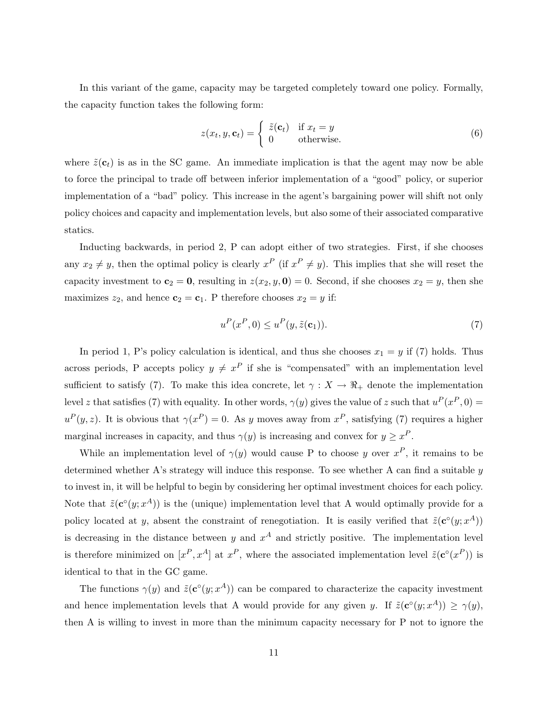In this variant of the game, capacity may be targeted completely toward one policy. Formally, the capacity function takes the following form:

$$
z(x_t, y, \mathbf{c}_t) = \begin{cases} \tilde{z}(\mathbf{c}_t) & \text{if } x_t = y \\ 0 & \text{otherwise.} \end{cases}
$$
 (6)

where  $\tilde{z}(\mathbf{c}_t)$  is as in the SC game. An immediate implication is that the agent may now be able to force the principal to trade off between inferior implementation of a "good" policy, or superior implementation of a "bad" policy. This increase in the agent's bargaining power will shift not only policy choices and capacity and implementation levels, but also some of their associated comparative statics.

Inducting backwards, in period 2, P can adopt either of two strategies. First, if she chooses any  $x_2 \neq y$ , then the optimal policy is clearly  $x^P$  (if  $x^P \neq y$ ). This implies that she will reset the capacity investment to  $c_2 = 0$ , resulting in  $z(x_2, y, 0) = 0$ . Second, if she chooses  $x_2 = y$ , then she maximizes  $z_2$ , and hence  $\mathbf{c}_2 = \mathbf{c}_1$ . P therefore chooses  $x_2 = y$  if:

$$
u^P(x^P, 0) \le u^P(y, \tilde{z}(\mathbf{c}_1)).\tag{7}
$$

In period 1, P's policy calculation is identical, and thus she chooses  $x_1 = y$  if (7) holds. Thus across periods, P accepts policy  $y \neq x^P$  if she is "compensated" with an implementation level sufficient to satisfy (7). To make this idea concrete, let  $\gamma : X \to \mathbb{R}_+$  denote the implementation level z that satisfies (7) with equality. In other words,  $\gamma(y)$  gives the value of z such that  $u^P(x^P, 0) =$  $u^P(y, z)$ . It is obvious that  $\gamma(x^P) = 0$ . As y moves away from  $x^P$ , satisfying (7) requires a higher marginal increases in capacity, and thus  $\gamma(y)$  is increasing and convex for  $y \geq x^P$ .

While an implementation level of  $\gamma(y)$  would cause P to choose y over  $x^P$ , it remains to be determined whether A's strategy will induce this response. To see whether A can find a suitable y to invest in, it will be helpful to begin by considering her optimal investment choices for each policy. Note that  $\tilde{z}(c^{\circ}(y; x^A))$  is the (unique) implementation level that A would optimally provide for a policy located at y, absent the constraint of renegotiation. It is easily verified that  $\tilde{z}(\mathbf{c}^{\circ}(y; x^A))$ is decreasing in the distance between y and  $x^A$  and strictly positive. The implementation level is therefore minimized on  $[x^P, x^A]$  at  $x^P$ , where the associated implementation level  $\tilde{z}(c^{\circ}(x^P))$  is identical to that in the GC game.

The functions  $\gamma(y)$  and  $\tilde{z}(c^{\circ}(y; x^A))$  can be compared to characterize the capacity investment and hence implementation levels that A would provide for any given y. If  $\tilde{z}(\mathbf{c}^{\circ}(y; x^A)) \geq \gamma(y)$ , then A is willing to invest in more than the minimum capacity necessary for P not to ignore the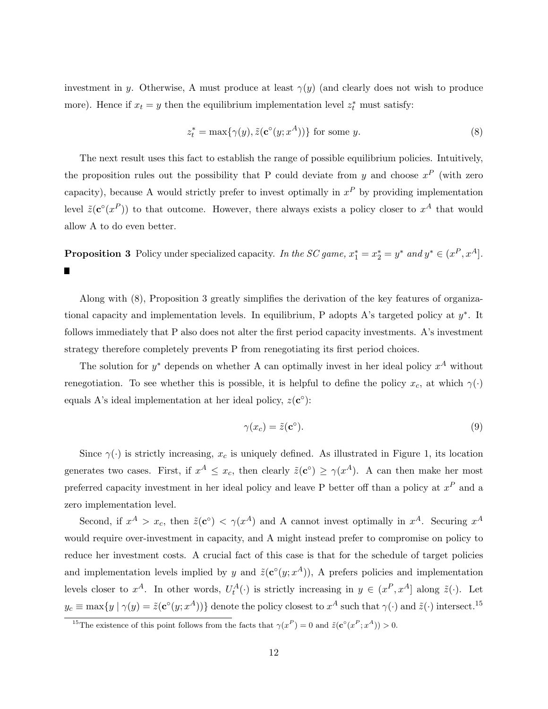investment in y. Otherwise, A must produce at least  $\gamma(y)$  (and clearly does not wish to produce more). Hence if  $x_t = y$  then the equilibrium implementation level  $z_t^*$  must satisfy:

$$
z_t^* = \max\{\gamma(y), \tilde{z}(\mathbf{c}^\circ(y; x^A))\} \text{ for some } y. \tag{8}
$$

The next result uses this fact to establish the range of possible equilibrium policies. Intuitively, the proposition rules out the possibility that P could deviate from y and choose  $x^P$  (with zero capacity), because A would strictly prefer to invest optimally in  $x^P$  by providing implementation level  $\tilde{z}(\mathbf{c}^{\circ}(x^P))$  to that outcome. However, there always exists a policy closer to  $x^A$  that would allow A to do even better.

**Proposition 3** Policy under specialized capacity. In the SC game,  $x_1^* = x_2^* = y^*$  and  $y^* \in (x^P, x^A]$ . Ë

Along with (8), Proposition 3 greatly simplifies the derivation of the key features of organizational capacity and implementation levels. In equilibrium, P adopts A's targeted policy at  $y^*$ . It follows immediately that P also does not alter the first period capacity investments. A's investment strategy therefore completely prevents P from renegotiating its first period choices.

The solution for  $y^*$  depends on whether A can optimally invest in her ideal policy  $x^A$  without renegotiation. To see whether this is possible, it is helpful to define the policy  $x_c$ , at which  $\gamma(\cdot)$ equals A's ideal implementation at her ideal policy,  $z(\mathbf{c}^{\circ})$ :

$$
\gamma(x_c) = \tilde{z}(\mathbf{c}^\circ). \tag{9}
$$

Since  $\gamma(\cdot)$  is strictly increasing,  $x_c$  is uniquely defined. As illustrated in Figure 1, its location generates two cases. First, if  $x^A \leq x_c$ , then clearly  $\tilde{z}(c^{\circ}) \geq \gamma(x^A)$ . A can then make her most preferred capacity investment in her ideal policy and leave P better off than a policy at  $x^P$  and a zero implementation level.

Second, if  $x^A > x_c$ , then  $\tilde{z}(c^{\circ}) < \gamma(x^A)$  and A cannot invest optimally in  $x^A$ . Securing  $x^A$ would require over-investment in capacity, and A might instead prefer to compromise on policy to reduce her investment costs. A crucial fact of this case is that for the schedule of target policies and implementation levels implied by y and  $\tilde{z}(\mathbf{c}^{\circ}(y; x^A))$ , A prefers policies and implementation levels closer to  $x^A$ . In other words,  $U_t^A(\cdot)$  is strictly increasing in  $y \in (x^P, x^A]$  along  $\tilde{z}(\cdot)$ . Let  $y_c \equiv \max\{y \mid \gamma(y) = \tilde{z}(\mathbf{c}^{\circ}(y; x^A))\}\$ denote the policy closest to  $x^A$  such that  $\gamma(\cdot)$  and  $\tilde{z}(\cdot)$  intersect.<sup>15</sup>

<sup>&</sup>lt;sup>15</sup>The existence of this point follows from the facts that  $\gamma(x^P) = 0$  and  $\tilde{z}(c^{\circ}(x^P; x^A)) > 0$ .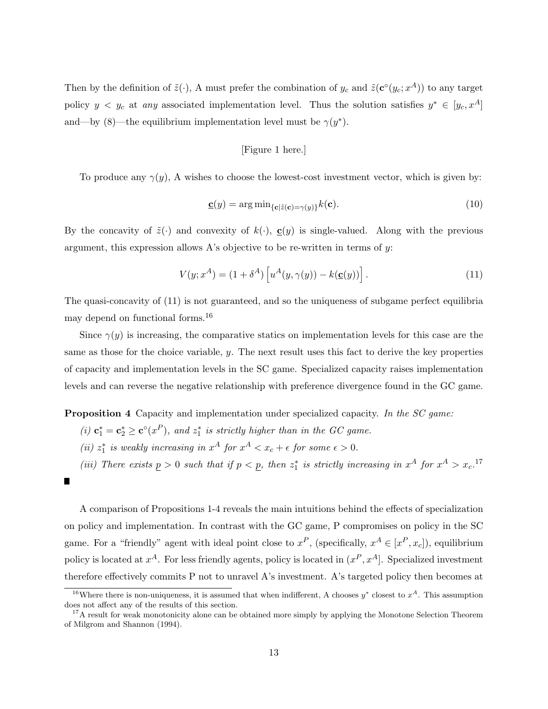Then by the definition of  $\tilde{z}(\cdot)$ , A must prefer the combination of  $y_c$  and  $\tilde{z}(\mathbf{c}^{\circ}(y_c; x^A))$  to any target policy  $y \leq y_c$  at any associated implementation level. Thus the solution satisfies  $y^* \in [y_c, x^A]$ and—by (8)—the equilibrium implementation level must be  $\gamma(y^*)$ .

### [Figure 1 here.]

To produce any  $\gamma(y)$ , A wishes to choose the lowest-cost investment vector, which is given by:

$$
\mathbf{C}(y) = \arg\min_{\{\mathbf{c} \mid \tilde{\mathbf{z}}(\mathbf{c}) = \gamma(y)\}} k(\mathbf{c}).\tag{10}
$$

By the concavity of  $\tilde{z}(\cdot)$  and convexity of  $k(\cdot)$ ,  $\underline{c}(y)$  is single-valued. Along with the previous argument, this expression allows A's objective to be re-written in terms of y:

$$
V(y; x^{A}) = (1 + \delta^{A}) \left[ u^{A}(y, \gamma(y)) - k(\underline{\mathbf{c}}(y)) \right]. \tag{11}
$$

The quasi-concavity of (11) is not guaranteed, and so the uniqueness of subgame perfect equilibria may depend on functional forms.<sup>16</sup>

Since  $\gamma(y)$  is increasing, the comparative statics on implementation levels for this case are the same as those for the choice variable, y. The next result uses this fact to derive the key properties of capacity and implementation levels in the SC game. Specialized capacity raises implementation levels and can reverse the negative relationship with preference divergence found in the GC game.

Proposition 4 Capacity and implementation under specialized capacity. In the SC game:

- (i)  $\mathbf{c}_1^* = \mathbf{c}_2^* \geq \mathbf{c}^{\circ}(x^P)$ , and  $z_1^*$  is strictly higher than in the GC game.
- (ii)  $z_1^*$  is weakly increasing in  $x^A$  for  $x^A < x_c + \epsilon$  for some  $\epsilon > 0$ .
- (iii) There exists  $p > 0$  such that if  $p < p$ , then  $z_1^*$  is strictly increasing in  $x^A$  for  $x^A > x_c$ .<sup>17</sup>

A comparison of Propositions 1-4 reveals the main intuitions behind the effects of specialization on policy and implementation. In contrast with the GC game, P compromises on policy in the SC game. For a "friendly" agent with ideal point close to  $x^P$ , (specifically,  $x^A \in [x^P, x_c]$ ), equilibrium policy is located at  $x^A$ . For less friendly agents, policy is located in  $(x^P, x^A)$ . Specialized investment therefore effectively commits P not to unravel A's investment. A's targeted policy then becomes at

П

<sup>&</sup>lt;sup>16</sup>Where there is non-uniqueness, it is assumed that when indifferent, A chooses  $y^*$  closest to  $x^A$ . This assumption does not affect any of the results of this section.

<sup>&</sup>lt;sup>17</sup>A result for weak monotonicity alone can be obtained more simply by applying the Monotone Selection Theorem of Milgrom and Shannon (1994).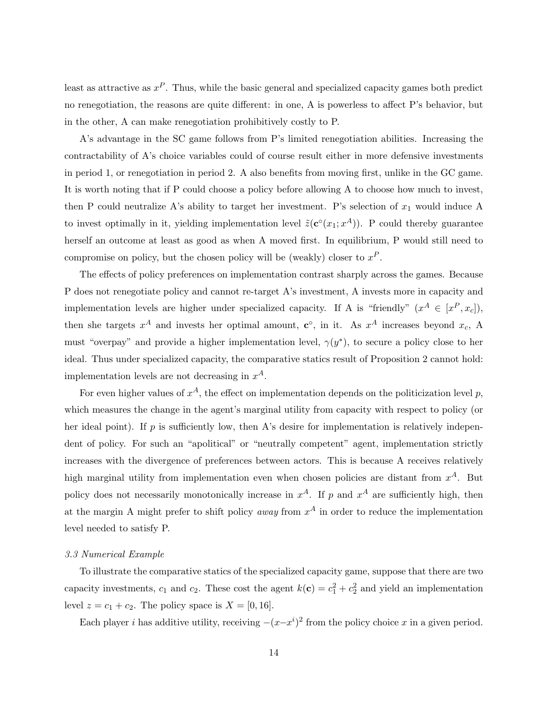least as attractive as  $x^P$ . Thus, while the basic general and specialized capacity games both predict no renegotiation, the reasons are quite different: in one, A is powerless to affect P's behavior, but in the other, A can make renegotiation prohibitively costly to P.

A's advantage in the SC game follows from P's limited renegotiation abilities. Increasing the contractability of A's choice variables could of course result either in more defensive investments in period 1, or renegotiation in period 2. A also benefits from moving first, unlike in the GC game. It is worth noting that if P could choose a policy before allowing A to choose how much to invest, then P could neutralize A's ability to target her investment. P's selection of  $x_1$  would induce A to invest optimally in it, yielding implementation level  $\tilde{z}(\mathbf{c}^{\circ}(x_1; x^A))$ . P could thereby guarantee herself an outcome at least as good as when A moved first. In equilibrium, P would still need to compromise on policy, but the chosen policy will be (weakly) closer to  $x^P$ .

The effects of policy preferences on implementation contrast sharply across the games. Because P does not renegotiate policy and cannot re-target A's investment, A invests more in capacity and implementation levels are higher under specialized capacity. If A is "friendly"  $(x^A \in [x^P, x_c])$ , then she targets  $x^A$  and invests her optimal amount,  $\mathbf{c}^\circ$ , in it. As  $x^A$  increases beyond  $x_c$ , A must "overpay" and provide a higher implementation level,  $\gamma(y^*)$ , to secure a policy close to her ideal. Thus under specialized capacity, the comparative statics result of Proposition 2 cannot hold: implementation levels are not decreasing in  $x^A$ .

For even higher values of  $x^A$ , the effect on implementation depends on the politicization level p, which measures the change in the agent's marginal utility from capacity with respect to policy (or her ideal point). If  $p$  is sufficiently low, then A's desire for implementation is relatively independent of policy. For such an "apolitical" or "neutrally competent" agent, implementation strictly increases with the divergence of preferences between actors. This is because A receives relatively high marginal utility from implementation even when chosen policies are distant from  $x^A$ . But policy does not necessarily monotonically increase in  $x^A$ . If p and  $x^A$  are sufficiently high, then at the margin A might prefer to shift policy *away* from  $x^A$  in order to reduce the implementation level needed to satisfy P.

#### 3.3 Numerical Example

To illustrate the comparative statics of the specialized capacity game, suppose that there are two capacity investments,  $c_1$  and  $c_2$ . These cost the agent  $k(c) = c_1^2 + c_2^2$  and yield an implementation level  $z = c_1 + c_2$ . The policy space is  $X = [0, 16]$ .

Each player *i* has additive utility, receiving  $-(x-x^i)^2$  from the policy choice x in a given period.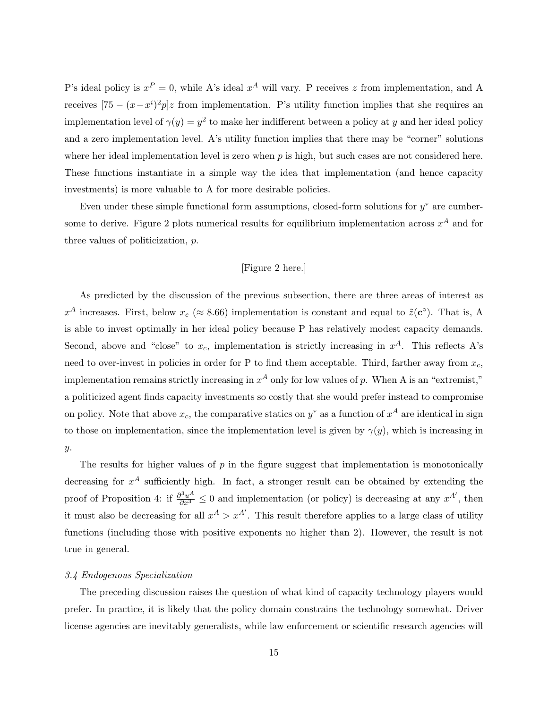P's ideal policy is  $x^P = 0$ , while A's ideal  $x^A$  will vary. P receives z from implementation, and A receives  $[75 - (x - x^i)^2 p]z$  from implementation. P's utility function implies that she requires an implementation level of  $\gamma(y) = y^2$  to make her indifferent between a policy at y and her ideal policy and a zero implementation level. A's utility function implies that there may be "corner" solutions where her ideal implementation level is zero when  $p$  is high, but such cases are not considered here. These functions instantiate in a simple way the idea that implementation (and hence capacity investments) is more valuable to A for more desirable policies.

Even under these simple functional form assumptions, closed-form solutions for  $y^*$  are cumbersome to derive. Figure 2 plots numerical results for equilibrium implementation across  $x^A$  and for three values of politicization, p.

## [Figure 2 here.]

As predicted by the discussion of the previous subsection, there are three areas of interest as  $x^A$  increases. First, below  $x_c \approx 8.66$ ) implementation is constant and equal to  $\tilde{z}(c^{\circ})$ . That is, A is able to invest optimally in her ideal policy because P has relatively modest capacity demands. Second, above and "close" to  $x_c$ , implementation is strictly increasing in  $x^A$ . This reflects A's need to over-invest in policies in order for P to find them acceptable. Third, farther away from  $x_c$ , implementation remains strictly increasing in  $x^A$  only for low values of p. When A is an "extremist," a politicized agent finds capacity investments so costly that she would prefer instead to compromise on policy. Note that above  $x_c$ , the comparative statics on  $y^*$  as a function of  $x^A$  are identical in sign to those on implementation, since the implementation level is given by  $\gamma(y)$ , which is increasing in  $y$ .

The results for higher values of  $p$  in the figure suggest that implementation is monotonically decreasing for  $x^A$  sufficiently high. In fact, a stronger result can be obtained by extending the proof of Proposition 4: if  $\frac{\partial^3 u^A}{\partial x^3} \leq 0$  and implementation (or policy) is decreasing at any  $x^{A'}$ , then it must also be decreasing for all  $x^A > x^{A'}$ . This result therefore applies to a large class of utility functions (including those with positive exponents no higher than 2). However, the result is not true in general.

#### 3.4 Endogenous Specialization

The preceding discussion raises the question of what kind of capacity technology players would prefer. In practice, it is likely that the policy domain constrains the technology somewhat. Driver license agencies are inevitably generalists, while law enforcement or scientific research agencies will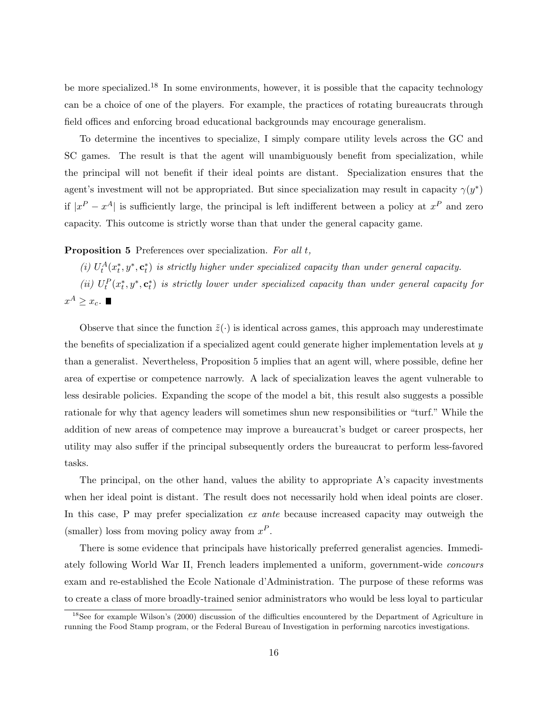be more specialized.<sup>18</sup> In some environments, however, it is possible that the capacity technology can be a choice of one of the players. For example, the practices of rotating bureaucrats through field offices and enforcing broad educational backgrounds may encourage generalism.

To determine the incentives to specialize, I simply compare utility levels across the GC and SC games. The result is that the agent will unambiguously benefit from specialization, while the principal will not benefit if their ideal points are distant. Specialization ensures that the agent's investment will not be appropriated. But since specialization may result in capacity  $\gamma(y^*)$ if  $|x^P - x^A|$  is sufficiently large, the principal is left indifferent between a policy at  $x^P$  and zero capacity. This outcome is strictly worse than that under the general capacity game.

### Proposition 5 Preferences over specialization. For all t,

(i)  $U_t^A(x_t^*, y^*, c_t^*)$  is strictly higher under specialized capacity than under general capacity.

(ii)  $U_t^P(x_t^*, y^*, c_t^*)$  is strictly lower under specialized capacity than under general capacity for  $x^A \geq x_c$ .

Observe that since the function  $\tilde{z}(\cdot)$  is identical across games, this approach may underestimate the benefits of specialization if a specialized agent could generate higher implementation levels at y than a generalist. Nevertheless, Proposition 5 implies that an agent will, where possible, define her area of expertise or competence narrowly. A lack of specialization leaves the agent vulnerable to less desirable policies. Expanding the scope of the model a bit, this result also suggests a possible rationale for why that agency leaders will sometimes shun new responsibilities or "turf." While the addition of new areas of competence may improve a bureaucrat's budget or career prospects, her utility may also suffer if the principal subsequently orders the bureaucrat to perform less-favored tasks.

The principal, on the other hand, values the ability to appropriate A's capacity investments when her ideal point is distant. The result does not necessarily hold when ideal points are closer. In this case, P may prefer specialization ex ante because increased capacity may outweigh the (smaller) loss from moving policy away from  $x^P$ .

There is some evidence that principals have historically preferred generalist agencies. Immediately following World War II, French leaders implemented a uniform, government-wide concours exam and re-established the Ecole Nationale d'Administration. The purpose of these reforms was to create a class of more broadly-trained senior administrators who would be less loyal to particular

 $18$ See for example Wilson's (2000) discussion of the difficulties encountered by the Department of Agriculture in running the Food Stamp program, or the Federal Bureau of Investigation in performing narcotics investigations.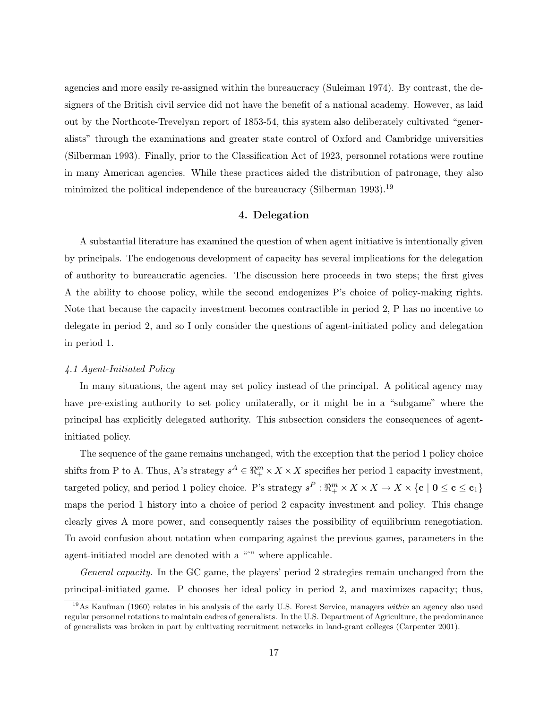agencies and more easily re-assigned within the bureaucracy (Suleiman 1974). By contrast, the designers of the British civil service did not have the benefit of a national academy. However, as laid out by the Northcote-Trevelyan report of 1853-54, this system also deliberately cultivated "generalists" through the examinations and greater state control of Oxford and Cambridge universities (Silberman 1993). Finally, prior to the Classification Act of 1923, personnel rotations were routine in many American agencies. While these practices aided the distribution of patronage, they also minimized the political independence of the bureaucracy (Silberman 1993).<sup>19</sup>

### 4. Delegation

A substantial literature has examined the question of when agent initiative is intentionally given by principals. The endogenous development of capacity has several implications for the delegation of authority to bureaucratic agencies. The discussion here proceeds in two steps; the first gives A the ability to choose policy, while the second endogenizes P's choice of policy-making rights. Note that because the capacity investment becomes contractible in period 2, P has no incentive to delegate in period 2, and so I only consider the questions of agent-initiated policy and delegation in period 1.

#### 4.1 Agent-Initiated Policy

In many situations, the agent may set policy instead of the principal. A political agency may have pre-existing authority to set policy unilaterally, or it might be in a "subgame" where the principal has explicitly delegated authority. This subsection considers the consequences of agentinitiated policy.

The sequence of the game remains unchanged, with the exception that the period 1 policy choice shifts from P to A. Thus, A's strategy  $s^A \in \mathbb{R}^m_+ \times X \times X$  specifies her period 1 capacity investment, targeted policy, and period 1 policy choice. P's strategy  $s^P : \Re_{+}^m \times X \times X \to X \times \{c \mid 0 \le c \le c_1\}$ maps the period 1 history into a choice of period 2 capacity investment and policy. This change clearly gives A more power, and consequently raises the possibility of equilibrium renegotiation. To avoid confusion about notation when comparing against the previous games, parameters in the agent-initiated model are denoted with a "<sup>\*\*</sup>" where applicable.

General capacity. In the GC game, the players' period 2 strategies remain unchanged from the principal-initiated game. P chooses her ideal policy in period 2, and maximizes capacity; thus,

 $19\text{As}$  Kaufman (1960) relates in his analysis of the early U.S. Forest Service, managers within an agency also used regular personnel rotations to maintain cadres of generalists. In the U.S. Department of Agriculture, the predominance of generalists was broken in part by cultivating recruitment networks in land-grant colleges (Carpenter 2001).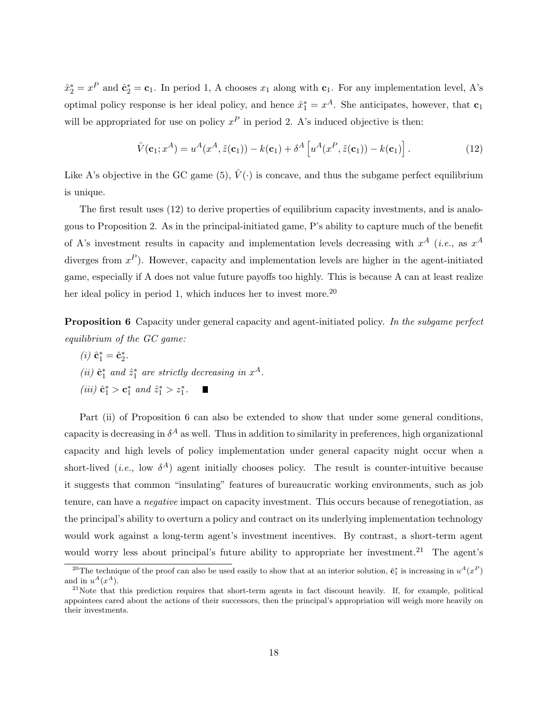$\hat{x}_2^* = x^P$  and  $\hat{\mathbf{c}}_2^* = \mathbf{c}_1$ . In period 1, A chooses  $x_1$  along with  $\mathbf{c}_1$ . For any implementation level, A's optimal policy response is her ideal policy, and hence  $\hat{x}_1^* = x^A$ . She anticipates, however, that  $c_1$ will be appropriated for use on policy  $x^P$  in period 2. A's induced objective is then:

$$
\hat{V}(\mathbf{c}_1; x^A) = u^A(x^A, \tilde{z}(\mathbf{c}_1)) - k(\mathbf{c}_1) + \delta^A \left[ u^A(x^P, \tilde{z}(\mathbf{c}_1)) - k(\mathbf{c}_1) \right]. \tag{12}
$$

Like A's objective in the GC game (5),  $\hat{V}(\cdot)$  is concave, and thus the subgame perfect equilibrium is unique.

The first result uses (12) to derive properties of equilibrium capacity investments, and is analogous to Proposition 2. As in the principal-initiated game, P's ability to capture much of the benefit of A's investment results in capacity and implementation levels decreasing with  $x^A$  (*i.e.*, as  $x^A$ diverges from  $x^P$ ). However, capacity and implementation levels are higher in the agent-initiated game, especially if A does not value future payoffs too highly. This is because A can at least realize her ideal policy in period 1, which induces her to invest more.<sup>20</sup>

**Proposition 6** Capacity under general capacity and agent-initiated policy. In the subgame perfect equilibrium of the GC game:

- (*i*)  $\hat{\mathbf{c}}_1^* = \hat{\mathbf{c}}_2^*$ . (ii)  $\hat{\mathbf{c}}_1^*$  and  $\hat{z}_1^*$  are strictly decreasing in  $x^A$ .
- (*iii*)  $\hat{\mathbf{c}}_1^* > \mathbf{c}_1^*$  and  $\hat{z}_1^* > z_1^*$ .

Part (ii) of Proposition 6 can also be extended to show that under some general conditions, capacity is decreasing in  $\delta^A$  as well. Thus in addition to similarity in preferences, high organizational capacity and high levels of policy implementation under general capacity might occur when a short-lived (*i.e.*, low  $\delta^A$ ) agent initially chooses policy. The result is counter-intuitive because it suggests that common "insulating" features of bureaucratic working environments, such as job tenure, can have a negative impact on capacity investment. This occurs because of renegotiation, as the principal's ability to overturn a policy and contract on its underlying implementation technology would work against a long-term agent's investment incentives. By contrast, a short-term agent would worry less about principal's future ability to appropriate her investment.<sup>21</sup> The agent's

<sup>&</sup>lt;sup>20</sup>The technique of the proof can also be used easily to show that at an interior solution,  $\hat{\mathbf{c}}_1^*$  is increasing in  $u^A(x^P)$ and in  $u^A(x^A)$ .

 $21$ Note that this prediction requires that short-term agents in fact discount heavily. If, for example, political appointees cared about the actions of their successors, then the principal's appropriation will weigh more heavily on their investments.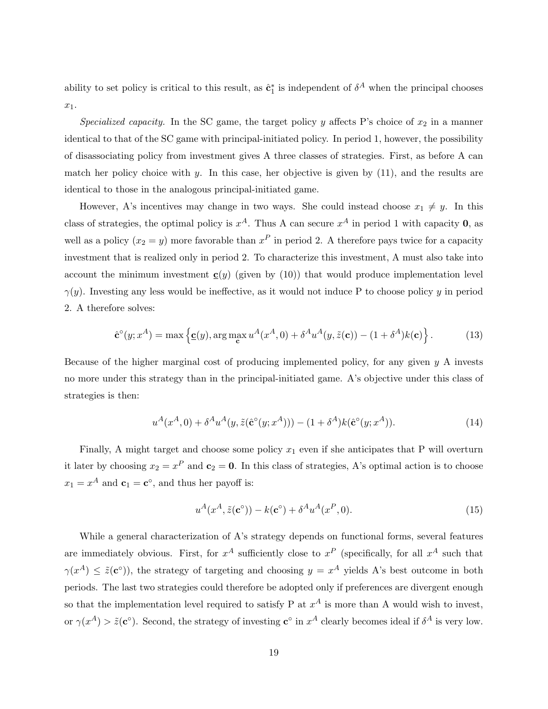ability to set policy is critical to this result, as  $\hat{\mathbf{c}}_1^*$  is independent of  $\delta^A$  when the principal chooses  $x_1$ .

Specialized capacity. In the SC game, the target policy y affects P's choice of  $x_2$  in a manner identical to that of the SC game with principal-initiated policy. In period 1, however, the possibility of disassociating policy from investment gives A three classes of strategies. First, as before A can match her policy choice with y. In this case, her objective is given by  $(11)$ , and the results are identical to those in the analogous principal-initiated game.

However, A's incentives may change in two ways. She could instead choose  $x_1 \neq y$ . In this class of strategies, the optimal policy is  $x^A$ . Thus A can secure  $x^A$  in period 1 with capacity 0, as well as a policy  $(x_2 = y)$  more favorable than  $x^P$  in period 2. A therefore pays twice for a capacity investment that is realized only in period 2. To characterize this investment, A must also take into account the minimum investment  $\underline{\mathbf{c}}(y)$  (given by (10)) that would produce implementation level  $\gamma(y)$ . Investing any less would be ineffective, as it would not induce P to choose policy y in period 2. A therefore solves:

$$
\hat{\mathbf{c}}^{\circ}(y; x^{A}) = \max \left\{ \underline{\mathbf{c}}(y), \arg \max_{\mathbf{c}} u^{A}(x^{A}, 0) + \delta^{A} u^{A}(y, \tilde{z}(\mathbf{c})) - (1 + \delta^{A}) k(\mathbf{c}) \right\}.
$$
 (13)

Because of the higher marginal cost of producing implemented policy, for any given y A invests no more under this strategy than in the principal-initiated game. A's objective under this class of strategies is then:

$$
u^{A}(x^{A},0) + \delta^{A} u^{A}(y, \tilde{z}(\hat{\mathbf{c}}^{o}(y;x^{A}))) - (1 + \delta^{A})k(\hat{\mathbf{c}}^{o}(y;x^{A})).
$$
\n(14)

Finally, A might target and choose some policy  $x_1$  even if she anticipates that P will overturn it later by choosing  $x_2 = x^P$  and  $c_2 = 0$ . In this class of strategies, A's optimal action is to choose  $x_1 = x^A$  and  $\mathbf{c}_1 = \mathbf{c}^\circ$ , and thus her payoff is:

$$
u^A(x^A, \tilde{z}(\mathbf{c}^\circ)) - k(\mathbf{c}^\circ) + \delta^A u^A(x^P, 0). \tag{15}
$$

While a general characterization of A's strategy depends on functional forms, several features are immediately obvious. First, for  $x^A$  sufficiently close to  $x^P$  (specifically, for all  $x^A$  such that  $\gamma(x^A) \leq \tilde{z}(c^{\circ})$ , the strategy of targeting and choosing  $y = x^A$  yields A's best outcome in both periods. The last two strategies could therefore be adopted only if preferences are divergent enough so that the implementation level required to satisfy P at  $x^A$  is more than A would wish to invest, or  $\gamma(x^A) > \tilde{z}(c^{\circ})$ . Second, the strategy of investing  $c^{\circ}$  in  $x^A$  clearly becomes ideal if  $\delta^A$  is very low.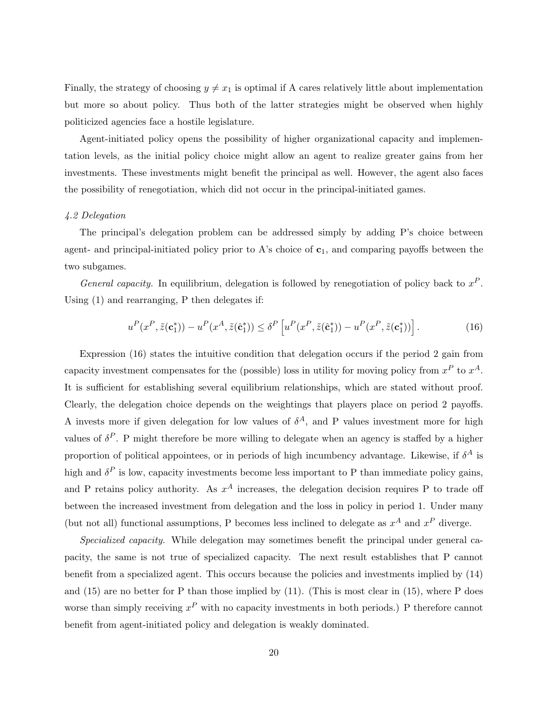Finally, the strategy of choosing  $y \neq x_1$  is optimal if A cares relatively little about implementation but more so about policy. Thus both of the latter strategies might be observed when highly politicized agencies face a hostile legislature.

Agent-initiated policy opens the possibility of higher organizational capacity and implementation levels, as the initial policy choice might allow an agent to realize greater gains from her investments. These investments might benefit the principal as well. However, the agent also faces the possibility of renegotiation, which did not occur in the principal-initiated games.

## 4.2 Delegation

The principal's delegation problem can be addressed simply by adding P's choice between agent- and principal-initiated policy prior to A's choice of  $c_1$ , and comparing payoffs between the two subgames.

General capacity. In equilibrium, delegation is followed by renegotiation of policy back to  $x^P$ . Using (1) and rearranging, P then delegates if:

$$
u^P(x^P, \tilde{z}(\mathbf{c}_1^*)) - u^P(x^A, \tilde{z}(\hat{\mathbf{c}}_1^*)) \le \delta^P \left[ u^P(x^P, \tilde{z}(\hat{\mathbf{c}}_1^*)) - u^P(x^P, \tilde{z}(\mathbf{c}_1^*)) \right]. \tag{16}
$$

Expression (16) states the intuitive condition that delegation occurs if the period 2 gain from capacity investment compensates for the (possible) loss in utility for moving policy from  $x^P$  to  $x^A$ . It is sufficient for establishing several equilibrium relationships, which are stated without proof. Clearly, the delegation choice depends on the weightings that players place on period 2 payoffs. A invests more if given delegation for low values of  $\delta^A$ , and P values investment more for high values of  $\delta^P$ . P might therefore be more willing to delegate when an agency is staffed by a higher proportion of political appointees, or in periods of high incumbency advantage. Likewise, if  $\delta^A$  is high and  $\delta^P$  is low, capacity investments become less important to P than immediate policy gains, and P retains policy authority. As  $x^A$  increases, the delegation decision requires P to trade off between the increased investment from delegation and the loss in policy in period 1. Under many (but not all) functional assumptions, P becomes less inclined to delegate as  $x^A$  and  $x^P$  diverge.

Specialized capacity. While delegation may sometimes benefit the principal under general capacity, the same is not true of specialized capacity. The next result establishes that P cannot benefit from a specialized agent. This occurs because the policies and investments implied by (14) and  $(15)$  are no better for P than those implied by  $(11)$ . (This is most clear in  $(15)$ , where P does worse than simply receiving  $x^P$  with no capacity investments in both periods.) P therefore cannot benefit from agent-initiated policy and delegation is weakly dominated.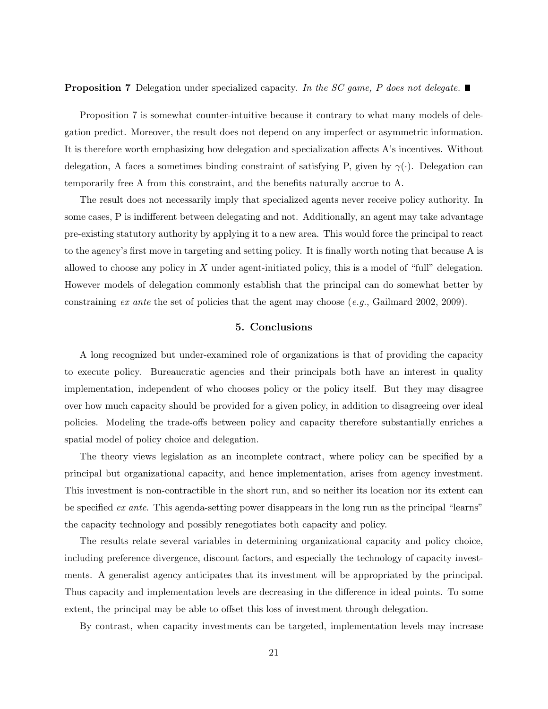**Proposition 7** Delegation under specialized capacity. In the SC game, P does not delegate.

Proposition 7 is somewhat counter-intuitive because it contrary to what many models of delegation predict. Moreover, the result does not depend on any imperfect or asymmetric information. It is therefore worth emphasizing how delegation and specialization affects A's incentives. Without delegation, A faces a sometimes binding constraint of satisfying P, given by  $\gamma(\cdot)$ . Delegation can temporarily free A from this constraint, and the benefits naturally accrue to A.

The result does not necessarily imply that specialized agents never receive policy authority. In some cases, P is indifferent between delegating and not. Additionally, an agent may take advantage pre-existing statutory authority by applying it to a new area. This would force the principal to react to the agency's first move in targeting and setting policy. It is finally worth noting that because A is allowed to choose any policy in  $X$  under agent-initiated policy, this is a model of "full" delegation. However models of delegation commonly establish that the principal can do somewhat better by constraining ex ante the set of policies that the agent may choose  $(e,q)$ . Gailmard 2002, 2009).

## 5. Conclusions

A long recognized but under-examined role of organizations is that of providing the capacity to execute policy. Bureaucratic agencies and their principals both have an interest in quality implementation, independent of who chooses policy or the policy itself. But they may disagree over how much capacity should be provided for a given policy, in addition to disagreeing over ideal policies. Modeling the trade-offs between policy and capacity therefore substantially enriches a spatial model of policy choice and delegation.

The theory views legislation as an incomplete contract, where policy can be specified by a principal but organizational capacity, and hence implementation, arises from agency investment. This investment is non-contractible in the short run, and so neither its location nor its extent can be specified ex ante. This agenda-setting power disappears in the long run as the principal "learns" the capacity technology and possibly renegotiates both capacity and policy.

The results relate several variables in determining organizational capacity and policy choice, including preference divergence, discount factors, and especially the technology of capacity investments. A generalist agency anticipates that its investment will be appropriated by the principal. Thus capacity and implementation levels are decreasing in the difference in ideal points. To some extent, the principal may be able to offset this loss of investment through delegation.

By contrast, when capacity investments can be targeted, implementation levels may increase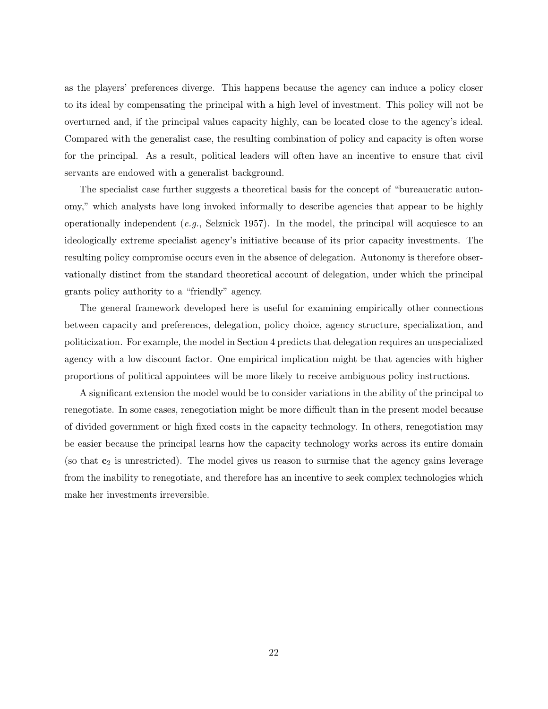as the players' preferences diverge. This happens because the agency can induce a policy closer to its ideal by compensating the principal with a high level of investment. This policy will not be overturned and, if the principal values capacity highly, can be located close to the agency's ideal. Compared with the generalist case, the resulting combination of policy and capacity is often worse for the principal. As a result, political leaders will often have an incentive to ensure that civil servants are endowed with a generalist background.

The specialist case further suggests a theoretical basis for the concept of "bureaucratic autonomy," which analysts have long invoked informally to describe agencies that appear to be highly operationally independent  $(e.q., S$ elznick 1957). In the model, the principal will acquiesce to an ideologically extreme specialist agency's initiative because of its prior capacity investments. The resulting policy compromise occurs even in the absence of delegation. Autonomy is therefore observationally distinct from the standard theoretical account of delegation, under which the principal grants policy authority to a "friendly" agency.

The general framework developed here is useful for examining empirically other connections between capacity and preferences, delegation, policy choice, agency structure, specialization, and politicization. For example, the model in Section 4 predicts that delegation requires an unspecialized agency with a low discount factor. One empirical implication might be that agencies with higher proportions of political appointees will be more likely to receive ambiguous policy instructions.

A significant extension the model would be to consider variations in the ability of the principal to renegotiate. In some cases, renegotiation might be more difficult than in the present model because of divided government or high fixed costs in the capacity technology. In others, renegotiation may be easier because the principal learns how the capacity technology works across its entire domain (so that  $c_2$  is unrestricted). The model gives us reason to surmise that the agency gains leverage from the inability to renegotiate, and therefore has an incentive to seek complex technologies which make her investments irreversible.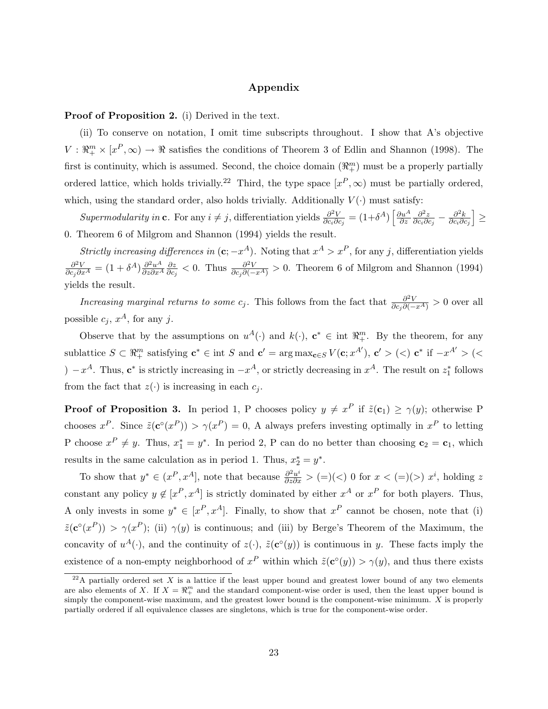## Appendix

### Proof of Proposition 2. (i) Derived in the text.

(ii) To conserve on notation, I omit time subscripts throughout. I show that A's objective  $V: \mathbb{R}^m_+ \times [x^P, \infty) \to \mathbb{R}$  satisfies the conditions of Theorem 3 of Edlin and Shannon (1998). The first is continuity, which is assumed. Second, the choice domain  $(\mathbb{R}^m_+)$  must be a properly partially ordered lattice, which holds trivially.<sup>22</sup> Third, the type space  $[x^P,\infty)$  must be partially ordered, which, using the standard order, also holds trivially. Additionally  $V(\cdot)$  must satisfy:

Supermodularity in c. For any  $i \neq j$ , differentiation yields  $\frac{\partial^2 V}{\partial c \cdot \partial j}$  $\frac{\partial^2 V}{\partial c_i \partial c_j} = (1+\delta^A) \left[ \frac{\partial u^A}{\partial z} \right]$ ∂z  $\partial^2 z$  $\frac{\partial^2 z}{\partial c_i \partial c_j} - \frac{\partial^2 k}{\partial c_i \partial c_j}$  $\partial c_i\partial c_j$ i ≥ 0. Theorem 6 of Milgrom and Shannon (1994) yields the result.

Strictly increasing differences in  $(c; -x^A)$ . Noting that  $x^A > x^P$ , for any j, differentiation yields  $\frac{\partial^2 V}{\partial c_j \partial x^A} = (1+\delta^A) \frac{\partial^2 u^A}{\partial z \partial x^A}$  $\frac{\partial^2 u^A}{\partial z \partial x^A} \frac{\partial z}{\partial c_j}$  $\frac{\partial z}{\partial c_j}$  < 0. Thus  $\frac{\partial^2 V}{\partial c_j \partial (-x^A)} > 0$ . Theorem 6 of Milgrom and Shannon (1994) yields the result.

*Increasing marginal returns to some c<sub>j</sub>.* This follows from the fact that  $\frac{\partial^2 V}{\partial c_j \partial (-x^A)} > 0$  over all possible  $c_j$ ,  $x^A$ , for any j.

Observe that by the assumptions on  $u^A(\cdot)$  and  $k(\cdot)$ ,  $\mathbf{c}^* \in \text{int } \mathbb{R}^m_+$ . By the theorem, for any sublattice  $S \subset \mathbb{R}^m_+$  satisfying  $c^* \in \text{int } S$  and  $c' = \arg \max_{c \in S} V(c; x^{A'})$ ,  $c' > (<) c^*$  if  $-x^{A'} > (<$ )  $-x^A$ . Thus,  $c^*$  is strictly increasing in  $-x^A$ , or strictly decreasing in  $x^A$ . The result on  $z_1^*$  follows from the fact that  $z(\cdot)$  is increasing in each  $c_j$ .

**Proof of Proposition 3.** In period 1, P chooses policy  $y \neq x^P$  if  $\tilde{z}(c_1) \geq \gamma(y)$ ; otherwise P chooses  $x^P$ . Since  $\tilde{z}(c^{\circ}(x^P)) > \gamma(x^P) = 0$ , A always prefers investing optimally in  $x^P$  to letting P choose  $x^P \neq y$ . Thus,  $x_1^* = y^*$ . In period 2, P can do no better than choosing  $\mathbf{c}_2 = \mathbf{c}_1$ , which results in the same calculation as in period 1. Thus,  $x_2^* = y^*$ .

To show that  $y^* \in (x^P, x^A]$ , note that because  $\frac{\partial^2 u^i}{\partial z \partial x} > (=)(<) 0$  for  $x < (=)(>) x^i$ , holding z constant any policy  $y \notin [x^P, x^A]$  is strictly dominated by either  $x^A$  or  $x^P$  for both players. Thus, A only invests in some  $y^* \in [x^P, x^A]$ . Finally, to show that  $x^P$  cannot be chosen, note that (i)  $\tilde{z}(\mathbf{c}^{\circ}(x^P)) > \gamma(x^P)$ ; (ii)  $\gamma(y)$  is continuous; and (iii) by Berge's Theorem of the Maximum, the concavity of  $u^A(\cdot)$ , and the continuity of  $z(\cdot)$ ,  $\tilde{z}(c^{\circ}(y))$  is continuous in y. These facts imply the existence of a non-empty neighborhood of  $x^P$  within which  $\tilde{z}(c^{\circ}(y)) > \gamma(y)$ , and thus there exists

 $^{22}$ A partially ordered set X is a lattice if the least upper bound and greatest lower bound of any two elements are also elements of X. If  $X = \mathbb{R}^m_+$  and the standard component-wise order is used, then the least upper bound is simply the component-wise maximum, and the greatest lower bound is the component-wise minimum. X is properly partially ordered if all equivalence classes are singletons, which is true for the component-wise order.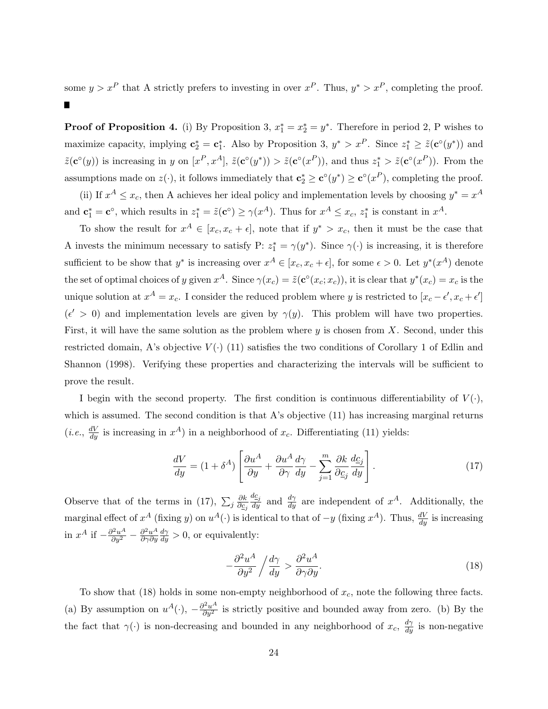some  $y > x^P$  that A strictly prefers to investing in over  $x^P$ . Thus,  $y^* > x^P$ , completing the proof. Ш

**Proof of Proposition 4.** (i) By Proposition 3,  $x_1^* = x_2^* = y^*$ . Therefore in period 2, P wishes to maximize capacity, implying  $\mathbf{c}_2^* = \mathbf{c}_1^*$ . Also by Proposition 3,  $y^* > x^P$ . Since  $z_1^* \geq \tilde{z}(\mathbf{c}^\circ(y^*))$  and  $\tilde{z}(\mathbf{c}^{\circ}(y))$  is increasing in y on  $[x^P, x^A]$ ,  $\tilde{z}(\mathbf{c}^{\circ}(y^*)) > \tilde{z}(\mathbf{c}^{\circ}(x^P))$ , and thus  $z_1^* > \tilde{z}(\mathbf{c}^{\circ}(x^P))$ . From the assumptions made on  $z(\cdot)$ , it follows immediately that  $\mathbf{c}_2^* \geq \mathbf{c}^{\circ}(y^*) \geq \mathbf{c}^{\circ}(x^P)$ , completing the proof.

(ii) If  $x^A \le x_c$ , then A achieves her ideal policy and implementation levels by choosing  $y^* = x^A$ and  $\mathbf{c}_1^* = \mathbf{c}^\circ$ , which results in  $z_1^* = \tilde{z}(\mathbf{c}^\circ) \ge \gamma(x^A)$ . Thus for  $x^A \le x_c$ ,  $z_1^*$  is constant in  $x^A$ .

To show the result for  $x^A \in [x_c, x_c + \epsilon]$ , note that if  $y^* > x_c$ , then it must be the case that A invests the minimum necessary to satisfy P:  $z_1^* = \gamma(y^*)$ . Since  $\gamma(\cdot)$  is increasing, it is therefore sufficient to be show that  $y^*$  is increasing over  $x^A \in [x_c, x_c + \epsilon]$ , for some  $\epsilon > 0$ . Let  $y^*(x^A)$  denote the set of optimal choices of y given  $x^A$ . Since  $\gamma(x_c) = \tilde{z}(\mathbf{c}^\circ(x_c; x_c))$ , it is clear that  $y^*(x_c) = x_c$  is the unique solution at  $x^A = x_c$ . I consider the reduced problem where y is restricted to  $[x_c - \epsilon', x_c + \epsilon']$  $(\epsilon' > 0)$  and implementation levels are given by  $\gamma(y)$ . This problem will have two properties. First, it will have the same solution as the problem where  $y$  is chosen from  $X$ . Second, under this restricted domain, A's objective  $V(\cdot)$  (11) satisfies the two conditions of Corollary 1 of Edlin and Shannon (1998). Verifying these properties and characterizing the intervals will be sufficient to prove the result.

I begin with the second property. The first condition is continuous differentiability of  $V(\cdot)$ , which is assumed. The second condition is that A's objective (11) has increasing marginal returns (*i.e.*,  $\frac{dV}{dy}$  is increasing in  $x^A$ ) in a neighborhood of  $x_c$ . Differentiating (11) yields:

$$
\frac{dV}{dy} = (1 + \delta^A) \left[ \frac{\partial u^A}{\partial y} + \frac{\partial u^A}{\partial \gamma} \frac{d\gamma}{dy} - \sum_{j=1}^m \frac{\partial k}{\partial \underline{c}_j} \frac{d\underline{c}_j}{dy} \right].
$$
\n(17)

Observe that of the terms in (17),  $\sum_j \frac{\partial k}{\partial c_j}$  $\overline{\partial c_j}$  $\frac{dc_j}{dy}$  and  $\frac{d\gamma}{dy}$  are independent of  $x^A$ . Additionally, the marginal effect of  $x^A$  (fixing y) on  $u^A(\cdot)$  is identical to that of  $-y$  (fixing  $x^A$ ). Thus,  $\frac{dV}{dy}$  is increasing in  $x^A$  if  $-\frac{\partial^2 u^A}{\partial y^2} - \frac{\partial^2 u^A}{\partial \gamma \partial y}$  $\partial \gamma \partial y$  $\frac{d\gamma}{dy} > 0$ , or equivalently:

$$
-\frac{\partial^2 u^A}{\partial y^2} / \frac{d\gamma}{dy} > \frac{\partial^2 u^A}{\partial \gamma \partial y}.
$$
\n(18)

To show that (18) holds in some non-empty neighborhood of  $x_c$ , note the following three facts. (a) By assumption on  $u^A(\cdot)$ ,  $-\frac{\partial^2 u^A}{\partial y^2}$  is strictly positive and bounded away from zero. (b) By the the fact that  $\gamma(\cdot)$  is non-decreasing and bounded in any neighborhood of  $x_c$ ,  $\frac{d\gamma}{dy}$  is non-negative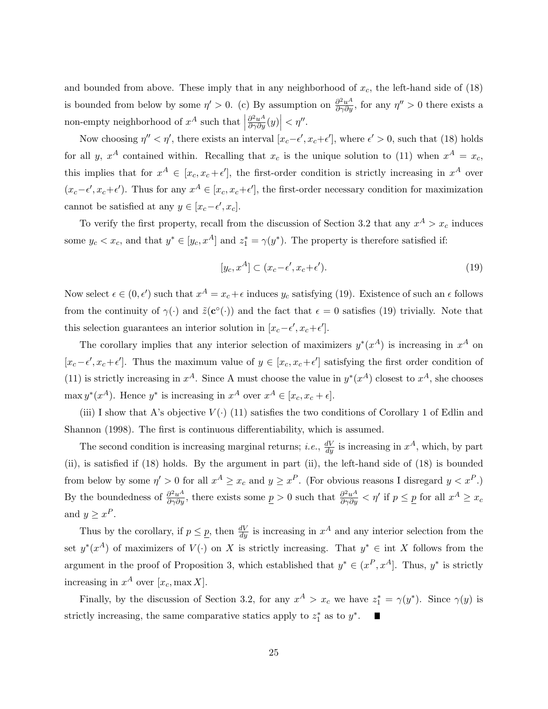and bounded from above. These imply that in any neighborhood of  $x_c$ , the left-hand side of (18) is bounded from below by some  $\eta' > 0$ . (c) By assumption on  $\frac{\partial^2 u^A}{\partial \gamma \partial y}$ , for any  $\eta'' > 0$  there exists a non-empty neighborhood of  $x^A$  such that  $\Big|$  $\frac{\partial^2 u^A}{\partial \gamma \partial y}(y)\Big| < \eta''$ .

Now choosing  $\eta'' < \eta'$ , there exists an interval  $[x_c-\epsilon', x_c+\epsilon']$ , where  $\epsilon' > 0$ , such that (18) holds for all y,  $x^A$  contained within. Recalling that  $x_c$  is the unique solution to (11) when  $x^A = x_c$ , this implies that for  $x^A \in [x_c, x_c + \epsilon']$ , the first-order condition is strictly increasing in  $x^A$  over  $(x_c-\epsilon', x_c+\epsilon')$ . Thus for any  $x^A \in [x_c, x_c+\epsilon']$ , the first-order necessary condition for maximization cannot be satisfied at any  $y \in [x_c - \epsilon', x_c]$ .

To verify the first property, recall from the discussion of Section 3.2 that any  $x^A > x_c$  induces some  $y_c < x_c$ , and that  $y^* \in [y_c, x^A]$  and  $z_1^* = \gamma(y^*)$ . The property is therefore satisfied if:

$$
[y_c, x^A] \subset (x_c - \epsilon', x_c + \epsilon'). \tag{19}
$$

Now select  $\epsilon \in (0, \epsilon')$  such that  $x^A = x_c + \epsilon$  induces  $y_c$  satisfying (19). Existence of such an  $\epsilon$  follows from the continuity of  $\gamma(\cdot)$  and  $\tilde{z}(c^{\circ}(\cdot))$  and the fact that  $\epsilon = 0$  satisfies (19) trivially. Note that this selection guarantees an interior solution in  $[x_c-\epsilon', x_c+\epsilon']$ .

The corollary implies that any interior selection of maximizers  $y^*(x^A)$  is increasing in  $x^A$  on  $[x_c-\epsilon', x_c+\epsilon']$ . Thus the maximum value of  $y \in [x_c, x_c+\epsilon']$  satisfying the first order condition of (11) is strictly increasing in  $x^A$ . Since A must choose the value in  $y^*(x^A)$  closest to  $x^A$ , she chooses  $\max y^*(x^A)$ . Hence  $y^*$  is increasing in  $x^A$  over  $x^A \in [x_c, x_c + \epsilon]$ .

(iii) I show that A's objective  $V(\cdot)$  (11) satisfies the two conditions of Corollary 1 of Edlin and Shannon (1998). The first is continuous differentiability, which is assumed.

The second condition is increasing marginal returns; *i.e.*,  $\frac{dV}{dy}$  is increasing in  $x^A$ , which, by part (ii), is satisfied if (18) holds. By the argument in part (ii), the left-hand side of (18) is bounded from below by some  $\eta' > 0$  for all  $x^A \ge x_c$  and  $y \ge x^P$ . (For obvious reasons I disregard  $y < x^P$ .) By the boundedness of  $\frac{\partial^2 u^A}{\partial \gamma \partial y}$ , there exists some  $\underline{p} > 0$  such that  $\frac{\partial^2 u^A}{\partial \gamma \partial y} < \eta'$  if  $p \le \underline{p}$  for all  $x^A \ge x_c$ and  $y \geq x^P$ .

Thus by the corollary, if  $p \leq p$ , then  $\frac{dV}{dy}$  is increasing in  $x^A$  and any interior selection from the set  $y^*(x^A)$  of maximizers of  $V(\cdot)$  on X is strictly increasing. That  $y^* \in \text{int } X$  follows from the argument in the proof of Proposition 3, which established that  $y^* \in (x^P, x^A]$ . Thus,  $y^*$  is strictly increasing in  $x^A$  over  $[x_c, \max X]$ .

Finally, by the discussion of Section 3.2, for any  $x^A > x_c$  we have  $z_1^* = \gamma(y^*)$ . Since  $\gamma(y)$  is strictly increasing, the same comparative statics apply to  $z_1^*$  as to  $y^*$ .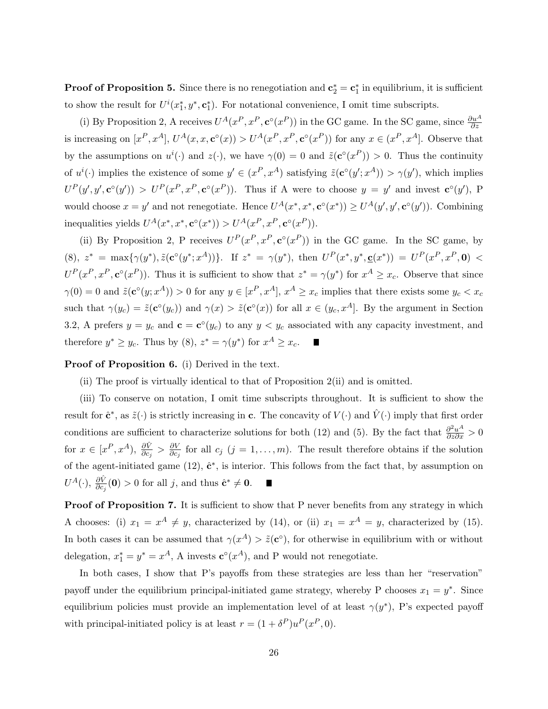**Proof of Proposition 5.** Since there is no renegotiation and  $\mathbf{c}_2^* = \mathbf{c}_1^*$  in equilibrium, it is sufficient to show the result for  $U^{i}(x_1^*, y^*, c_1^*)$ . For notational convenience, I omit time subscripts.

(i) By Proposition 2, A receives  $U^A(x^P, x^P, \mathbf{c}^\circ(x^P))$  in the GC game. In the SC game, since  $\frac{\partial u^A}{\partial z}$ is increasing on  $[x^P, x^A]$ ,  $U^A(x, x, \mathbf{c}^\circ(x)) > U^A(x^P, x^P, \mathbf{c}^\circ(x^P))$  for any  $x \in (x^P, x^A]$ . Observe that by the assumptions on  $u^{i}(\cdot)$  and  $z(\cdot)$ , we have  $\gamma(0) = 0$  and  $\tilde{z}(c^{\circ}(x^{P})) > 0$ . Thus the continuity of  $u^i(\cdot)$  implies the existence of some  $y' \in (x^P, x^A)$  satisfying  $\tilde{z}(c^{\circ}(y'; x^A)) > \gamma(y')$ , which implies  $U^P(y', y', \mathbf{c}^{\circ}(y')) > U^P(x^P, x^P, \mathbf{c}^{\circ}(x^P)).$  Thus if A were to choose  $y = y'$  and invest  $\mathbf{c}^{\circ}(y'),$  P would choose  $x = y'$  and not renegotiate. Hence  $U^A(x^*, x^*, \mathbf{c}^\circ(x^*)) \geq U^A(y', y', \mathbf{c}^\circ(y'))$ . Combining inequalities yields  $U^A(x^*, x^*, \mathbf{c}^\circ(x^*)) > U^A(x^P, x^P, \mathbf{c}^\circ(x^P)).$ 

(ii) By Proposition 2, P receives  $U^P(x^P, x^P, \mathbf{c}^\circ(x^P))$  in the GC game. In the SC game, by (8),  $z^* = \max\{\gamma(y^*), \tilde{z}(c^{\circ}(y^*; x^A))\}.$  If  $z^* = \gamma(y^*)$ , then  $U^P(x^*, y^*, \underline{c}(x^*)) = U^P(x^P, x^P, \underline{\mathbf{0}})$  $U^P(x^P, x^P, \mathbf{c}^{\circ}(x^P)).$  Thus it is sufficient to show that  $z^* = \gamma(y^*)$  for  $x^A \geq x_c$ . Observe that since  $\gamma(0) = 0$  and  $\tilde{z}(c^{\circ}(y; x^A)) > 0$  for any  $y \in [x^P, x^A], x^A \geq x_c$  implies that there exists some  $y_c < x_c$ such that  $\gamma(y_c) = \tilde{z}(c^{\circ}(y_c))$  and  $\gamma(x) > \tilde{z}(c^{\circ}(x))$  for all  $x \in (y_c, x^A]$ . By the argument in Section 3.2, A prefers  $y = y_c$  and  $\mathbf{c} = \mathbf{c}^{\circ}(y_c)$  to any  $y < y_c$  associated with any capacity investment, and therefore  $y^* \ge y_c$ . Thus by (8),  $z^* = \gamma(y^*)$  for  $x^A \ge x_c$ .

Proof of Proposition 6. (i) Derived in the text.

(ii) The proof is virtually identical to that of Proposition 2(ii) and is omitted.

(iii) To conserve on notation, I omit time subscripts throughout. It is sufficient to show the result for  $\hat{\mathbf{c}}^*$ , as  $\tilde{z}(\cdot)$  is strictly increasing in c. The concavity of  $V(\cdot)$  and  $\hat{V}(\cdot)$  imply that first order conditions are sufficient to characterize solutions for both (12) and (5). By the fact that  $\frac{\partial^2 u^A}{\partial z \partial x} > 0$ for  $x \in [x^P, x^A), \frac{\partial \hat{V}}{\partial c_j} > \frac{\partial V}{\partial c_j}$  $\frac{\partial V}{\partial c_j}$  for all  $c_j$  ( $j = 1, \ldots, m$ ). The result therefore obtains if the solution of the agent-initiated game  $(12)$ ,  $\hat{\mathbf{c}}^*$ , is interior. This follows from the fact that, by assumption on  $U^A(\cdot), \frac{\partial \hat{V}}{\partial c_j}(\mathbf{0}) > 0$  for all j, and thus  $\hat{\mathbf{c}}^* \neq \mathbf{0}$ .  $\blacksquare$ 

Proof of Proposition 7. It is sufficient to show that P never benefits from any strategy in which A chooses: (i)  $x_1 = x^A \neq y$ , characterized by (14), or (ii)  $x_1 = x^A = y$ , characterized by (15). In both cases it can be assumed that  $\gamma(x^A) > \tilde{z}(c^{\circ})$ , for otherwise in equilibrium with or without delegation,  $x_1^* = y^* = x^A$ , A invests  $\mathbf{c}^{\circ}(x^A)$ , and P would not renegotiate.

In both cases, I show that P's payoffs from these strategies are less than her "reservation" payoff under the equilibrium principal-initiated game strategy, whereby P chooses  $x_1 = y^*$ . Since equilibrium policies must provide an implementation level of at least  $\gamma(y^*)$ , P's expected payoff with principal-initiated policy is at least  $r = (1 + \delta^P)u^P(x^P, 0)$ .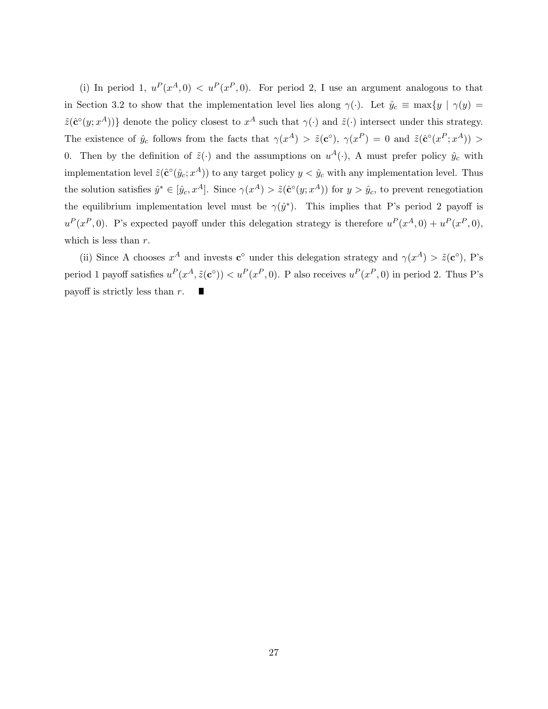(i) In period 1,  $u^P(x^A, 0) < u^P(x^P, 0)$ . For period 2, I use an argument analogous to that in Section 3.2 to show that the implementation level lies along  $\gamma(\cdot)$ . Let  $\hat{y}_c \equiv \max\{y \mid \gamma(y) =$  $\tilde{z}(\hat{\mathbf{c}}^{\circ}(y; x^A))$  denote the policy closest to  $x^A$  such that  $\gamma(\cdot)$  and  $\tilde{z}(\cdot)$  intersect under this strategy. The existence of  $\hat{y}_c$  follows from the facts that  $\gamma(x^A) > \tilde{z}(c^{\circ}), \gamma(x^P) = 0$  and  $\tilde{z}(c^{\circ}(x^P; x^A)) >$ 0. Then by the definition of  $\tilde{z}(\cdot)$  and the assumptions on  $u^A(\cdot)$ , A must prefer policy  $\hat{y}_c$  with implementation level  $\tilde{z}(\hat{\mathbf{c}}^{\circ}(\hat{y}_c; x^A))$  to any target policy  $y < \hat{y}_c$  with any implementation level. Thus the solution satisfies  $\hat{y}^* \in [\hat{y}_c, x^A]$ . Since  $\gamma(x^A) > \tilde{z}(\hat{c}^\circ(y; x^A))$  for  $y > \hat{y}_c$ , to prevent renegotiation the equilibrium implementation level must be  $\gamma(\hat{y}^*)$ . This implies that P's period 2 payoff is  $u^P(x^P, 0)$ . P's expected payoff under this delegation strategy is therefore  $u^P(x^A, 0) + u^P(x^P, 0)$ , which is less than  $r$ .

(ii) Since A chooses  $x^A$  and invests  $\mathbf{c}^{\circ}$  under this delegation strategy and  $\gamma(x^A) > \tilde{z}(\mathbf{c}^{\circ}),$  P's period 1 payoff satisfies  $u^P(x^A, \tilde{z}(c^{\circ})) < u^P(x^P, 0)$ . P also receives  $u^P(x^P, 0)$  in period 2. Thus P's payoff is strictly less than r. ш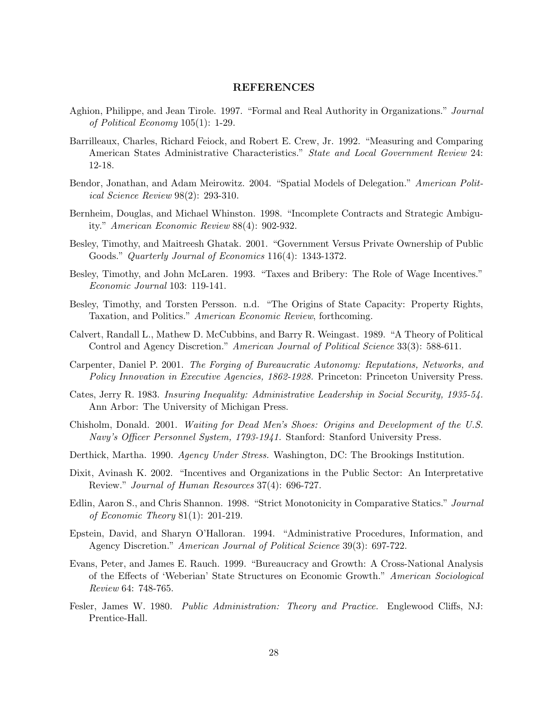## REFERENCES

- Aghion, Philippe, and Jean Tirole. 1997. "Formal and Real Authority in Organizations." Journal of Political Economy 105(1): 1-29.
- Barrilleaux, Charles, Richard Feiock, and Robert E. Crew, Jr. 1992. "Measuring and Comparing American States Administrative Characteristics." State and Local Government Review 24: 12-18.
- Bendor, Jonathan, and Adam Meirowitz. 2004. "Spatial Models of Delegation." American Political Science Review 98(2): 293-310.
- Bernheim, Douglas, and Michael Whinston. 1998. "Incomplete Contracts and Strategic Ambiguity." American Economic Review 88(4): 902-932.
- Besley, Timothy, and Maitreesh Ghatak. 2001. "Government Versus Private Ownership of Public Goods." Quarterly Journal of Economics 116(4): 1343-1372.
- Besley, Timothy, and John McLaren. 1993. "Taxes and Bribery: The Role of Wage Incentives." Economic Journal 103: 119-141.
- Besley, Timothy, and Torsten Persson. n.d. "The Origins of State Capacity: Property Rights, Taxation, and Politics." American Economic Review, forthcoming.
- Calvert, Randall L., Mathew D. McCubbins, and Barry R. Weingast. 1989. "A Theory of Political Control and Agency Discretion." American Journal of Political Science 33(3): 588-611.
- Carpenter, Daniel P. 2001. The Forging of Bureaucratic Autonomy: Reputations, Networks, and Policy Innovation in Executive Agencies, 1862-1928. Princeton: Princeton University Press.
- Cates, Jerry R. 1983. Insuring Inequality: Administrative Leadership in Social Security, 1935-54. Ann Arbor: The University of Michigan Press.
- Chisholm, Donald. 2001. Waiting for Dead Men's Shoes: Origins and Development of the U.S. Navy's Officer Personnel System, 1793-1941. Stanford: Stanford University Press.
- Derthick, Martha. 1990. Agency Under Stress. Washington, DC: The Brookings Institution.
- Dixit, Avinash K. 2002. "Incentives and Organizations in the Public Sector: An Interpretative Review." Journal of Human Resources 37(4): 696-727.
- Edlin, Aaron S., and Chris Shannon. 1998. "Strict Monotonicity in Comparative Statics." Journal of Economic Theory 81(1): 201-219.
- Epstein, David, and Sharyn O'Halloran. 1994. "Administrative Procedures, Information, and Agency Discretion." American Journal of Political Science 39(3): 697-722.
- Evans, Peter, and James E. Rauch. 1999. "Bureaucracy and Growth: A Cross-National Analysis of the Effects of 'Weberian' State Structures on Economic Growth." American Sociological Review 64: 748-765.
- Fesler, James W. 1980. Public Administration: Theory and Practice. Englewood Cliffs, NJ: Prentice-Hall.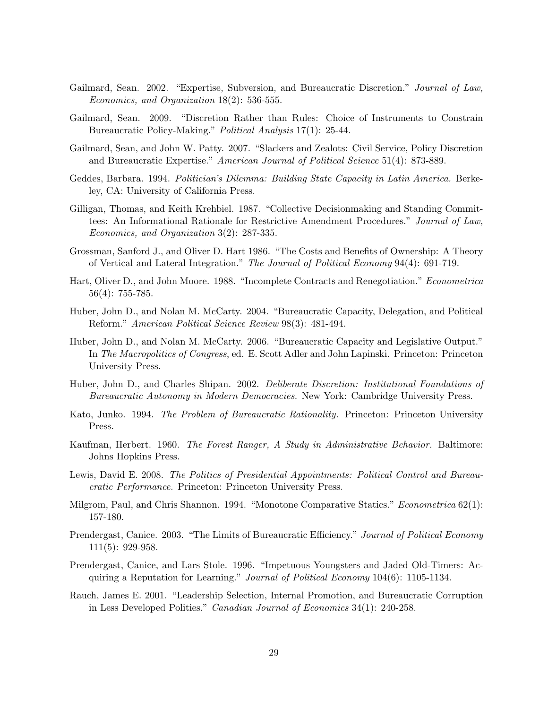- Gailmard, Sean. 2002. "Expertise, Subversion, and Bureaucratic Discretion." Journal of Law, Economics, and Organization 18(2): 536-555.
- Gailmard, Sean. 2009. "Discretion Rather than Rules: Choice of Instruments to Constrain Bureaucratic Policy-Making." Political Analysis 17(1): 25-44.
- Gailmard, Sean, and John W. Patty. 2007. "Slackers and Zealots: Civil Service, Policy Discretion and Bureaucratic Expertise." American Journal of Political Science 51(4): 873-889.
- Geddes, Barbara. 1994. Politician's Dilemma: Building State Capacity in Latin America. Berkeley, CA: University of California Press.
- Gilligan, Thomas, and Keith Krehbiel. 1987. "Collective Decisionmaking and Standing Committees: An Informational Rationale for Restrictive Amendment Procedures." Journal of Law, Economics, and Organization 3(2): 287-335.
- Grossman, Sanford J., and Oliver D. Hart 1986. "The Costs and Benefits of Ownership: A Theory of Vertical and Lateral Integration." The Journal of Political Economy 94(4): 691-719.
- Hart, Oliver D., and John Moore. 1988. "Incomplete Contracts and Renegotiation." Econometrica 56(4): 755-785.
- Huber, John D., and Nolan M. McCarty. 2004. "Bureaucratic Capacity, Delegation, and Political Reform." American Political Science Review 98(3): 481-494.
- Huber, John D., and Nolan M. McCarty. 2006. "Bureaucratic Capacity and Legislative Output." In The Macropolitics of Congress, ed. E. Scott Adler and John Lapinski. Princeton: Princeton University Press.
- Huber, John D., and Charles Shipan. 2002. Deliberate Discretion: Institutional Foundations of Bureaucratic Autonomy in Modern Democracies. New York: Cambridge University Press.
- Kato, Junko. 1994. The Problem of Bureaucratic Rationality. Princeton: Princeton University Press.
- Kaufman, Herbert. 1960. The Forest Ranger, A Study in Administrative Behavior. Baltimore: Johns Hopkins Press.
- Lewis, David E. 2008. The Politics of Presidential Appointments: Political Control and Bureaucratic Performance. Princeton: Princeton University Press.
- Milgrom, Paul, and Chris Shannon. 1994. "Monotone Comparative Statics." *Econometrica* 62(1): 157-180.
- Prendergast, Canice. 2003. "The Limits of Bureaucratic Efficiency." Journal of Political Economy 111(5): 929-958.
- Prendergast, Canice, and Lars Stole. 1996. "Impetuous Youngsters and Jaded Old-Timers: Acquiring a Reputation for Learning." Journal of Political Economy 104(6): 1105-1134.
- Rauch, James E. 2001. "Leadership Selection, Internal Promotion, and Bureaucratic Corruption in Less Developed Polities." Canadian Journal of Economics 34(1): 240-258.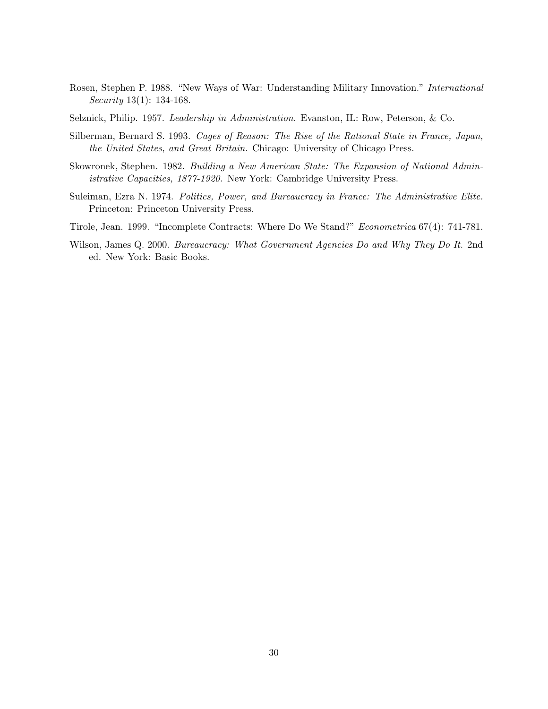Rosen, Stephen P. 1988. "New Ways of War: Understanding Military Innovation." International Security 13(1): 134-168.

Selznick, Philip. 1957. Leadership in Administration. Evanston, IL: Row, Peterson, & Co.

- Silberman, Bernard S. 1993. Cages of Reason: The Rise of the Rational State in France, Japan, the United States, and Great Britain. Chicago: University of Chicago Press.
- Skowronek, Stephen. 1982. Building a New American State: The Expansion of National Administrative Capacities, 1877-1920. New York: Cambridge University Press.
- Suleiman, Ezra N. 1974. Politics, Power, and Bureaucracy in France: The Administrative Elite. Princeton: Princeton University Press.
- Tirole, Jean. 1999. "Incomplete Contracts: Where Do We Stand?" Econometrica 67(4): 741-781.
- Wilson, James Q. 2000. Bureaucracy: What Government Agencies Do and Why They Do It. 2nd ed. New York: Basic Books.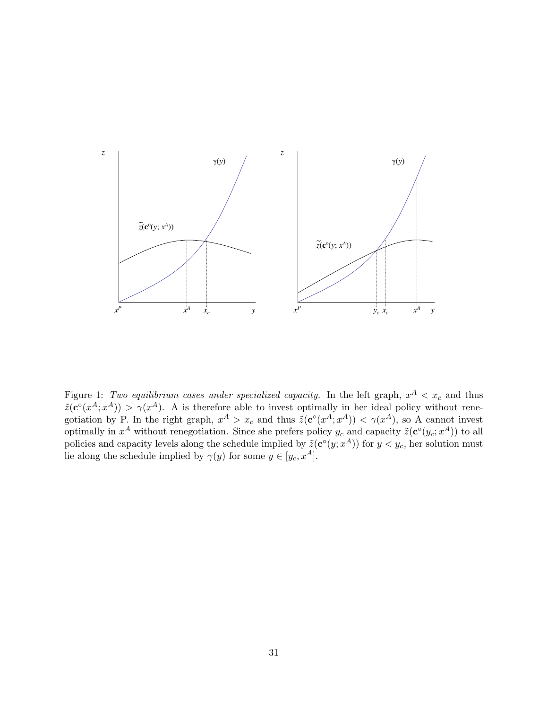

Figure 1: Two equilibrium cases under specialized capacity. In the left graph,  $x^A < x_c$  and thus  $\tilde{z}(\mathbf{c}^{\circ}(x^A;x^A)) > \gamma(x^A)$ . A is therefore able to invest optimally in her ideal policy without renegotiation by P. In the right graph,  $x^A > x_c$  and thus  $\tilde{z}(c^{\circ}(x^A; x^A)) < \gamma(x^A)$ , so A cannot invest optimally in  $x^A$  without renegotiation. Since she prefers policy  $y_c$  and capacity  $\tilde{z}(\mathbf{c}^{\circ}(y_c; x^A))$  to all policies and capacity levels along the schedule implied by  $\tilde{z}(\mathbf{c}^{\circ}(y; x^A))$  for  $y < y_c$ , her solution must lie along the schedule implied by  $\gamma(y)$  for some  $y \in [y_c, x^A]$ .